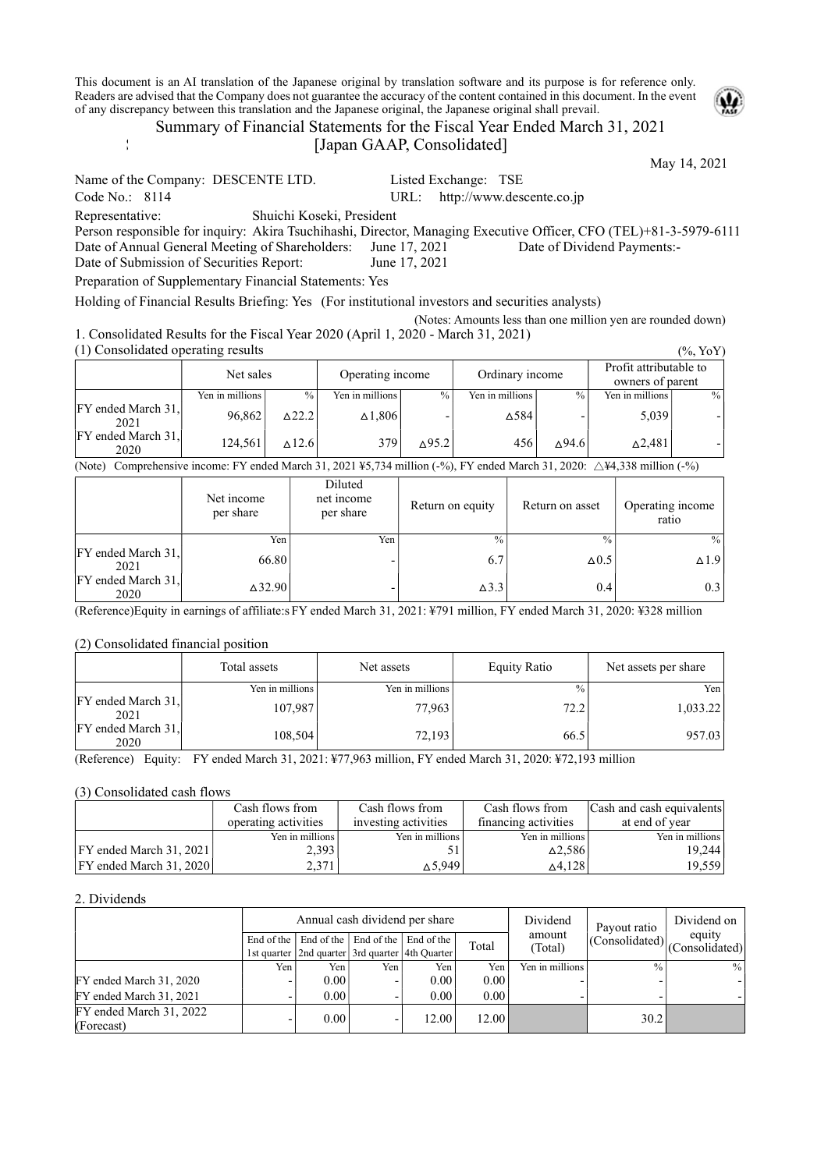This document is an AI translation of the Japanese original by translation software and its purpose is for reference only. Readers are advised that the Company does not guarantee the accuracy of the content contained in this document. In the event of any discrepancy between this translation and the Japanese original, the Japanese original shall prevail.



[Japan GAAP, Consolidated]

May 14, 2021 Name of the Company: DESCENTE LTD. Listed Exchange: TSE Code No.: 8114 URL: http://www.descente.co.jp Representative: Shuichi Koseki, President Person responsible for inquiry: Akira Tsuchihashi, Director, Managing Executive Officer, CFO (TEL)+81-3-5979-6111 Date of Annual General Meeting of Shareholders: June 17, 2021 Date of Dividend Payments:-Date of Submission of Securities Report: June 17, 2021 Preparation of Supplementary Financial Statements: Yes

Holding of Financial Results Briefing: Yes (For institutional investors and securities analysts)

(Notes: Amounts less than one million yen are rounded down) 1. Consolidated Results for the Fiscal Year 2020 (April 1, 2020 - March 31, 2021)  $(1)$  Consolidated operating results ( $(1)$ )  $(2)$   $(3)$   $(4)$   $(5)$   $(8)$ 

| (1) Consolidated operating results<br>$($ %, YOY |                   |                  |                  |                  |                 |                  |                                            |      |  |  |  |
|--------------------------------------------------|-------------------|------------------|------------------|------------------|-----------------|------------------|--------------------------------------------|------|--|--|--|
|                                                  | Net sales         |                  | Operating income |                  | Ordinary income |                  | Profit attributable to<br>owners of parent |      |  |  |  |
|                                                  | Yen in millions I | $\frac{0}{0}$    | Yen in millions  | $\frac{0}{0}$    | Yen in millions | $\%$             | Yen in millions                            | $\%$ |  |  |  |
| FY ended March 31,<br>2021                       | 96.862            | $\triangle$ 22.2 | $\Delta$ 1,806   |                  | ∆584            |                  | 5.039                                      |      |  |  |  |
| FY ended March 31.<br>2020                       | 124,561           | $\triangle$ 12.6 | 379              | $\triangle$ 95.2 | 456             | $\triangle$ 94.6 | ∆2,481                                     |      |  |  |  |

(Note) Comprehensive income: FY ended March 31, 2021 ¥5,734 million (-%), FY ended March 31, 2020:  $\Delta$ ¥4,338 million (-%)

|                            | Net income<br>per share | Diluted<br>net income<br>per share | Return on equity | Return on asset | Operating income<br>ratio |
|----------------------------|-------------------------|------------------------------------|------------------|-----------------|---------------------------|
|                            | Yen                     | Yen.                               | $\frac{0}{0}$    | $\frac{0}{0}$   | $\%$                      |
| FY ended March 31,<br>2021 | 66.80                   |                                    | 6.7              | $\Delta 0.5$    | $\Delta$ 1.9              |
| FY ended March 31,<br>2020 | $\triangle$ 32.90       |                                    | $\Delta$ 3.3     | 0.4             | 0.3                       |

(Reference)Equity in earnings of affiliate:s FY ended March 31, 2021: ¥791 million, FY ended March 31, 2020: ¥328 million

(2) Consolidated financial position

S

|                            | Total assets      | Net assets      | <b>Equity Ratio</b> | Net assets per share |
|----------------------------|-------------------|-----------------|---------------------|----------------------|
|                            | Yen in millions l | Yen in millions | $\%$                | Yen                  |
| FY ended March 31,<br>2021 | 107,987           | 77,963          | 72.2                | 1,033.22             |
| FY ended March 31,<br>2020 | 108,504           | 72,193          | 66.5                | 957.03               |

(Reference) Equity: FY ended March 31, 2021: ¥77,963 million, FY ended March 31, 2020: ¥72,193 million

### (3) Consolidated cash flows

|                                 | Cash flows from      | Cash flows from      | Cash flows from      | Cash and cash equivalents |
|---------------------------------|----------------------|----------------------|----------------------|---------------------------|
|                                 | operating activities | investing activities | financing activities | at end of year            |
|                                 | Yen in millions      | Yen in millions      | Yen in millions      | Yen in millions           |
| <b>IFY</b> ended March 31, 2021 | 2,393                |                      | $\Delta$ 2.586       | 19,244                    |
| IFY ended March 31, 2020        | 2,371                | $\wedge$ 5.949       | $\triangle$ 4.128    | 19,559                    |

### 2. Dividends

|                                       |                  |                                                       |                         | Annual cash dividend per share | Dividend | Payout ratio             | Dividend on            |                          |
|---------------------------------------|------------------|-------------------------------------------------------|-------------------------|--------------------------------|----------|--------------------------|------------------------|--------------------------|
|                                       | End of the       | 1st quarter   2nd quarter   3rd quarter   4th Quarter | End of the   End of the | End of the                     | Total    | amount<br>(Total)        | $ $ (Consolidated) $ $ | equity<br>(Consolidated) |
|                                       | Yen <sub>1</sub> | Yen                                                   | Yen                     | Yen.                           | Yen      | Yen in millions          | $\frac{0}{0}$          | $^{0}/_{0}$              |
| FY ended March 31, 2020               |                  | 0.00 <sub>l</sub>                                     | -                       | 0.00                           | 0.00     | $\overline{\phantom{0}}$ |                        |                          |
| FY ended March 31, 2021               |                  | 0.00                                                  |                         | 0.00                           | 0.00     |                          |                        |                          |
| FY ended March 31, 2022<br>(Forecast) |                  | 0.00                                                  |                         | 12.00                          | 12.00    |                          | 30.2                   |                          |

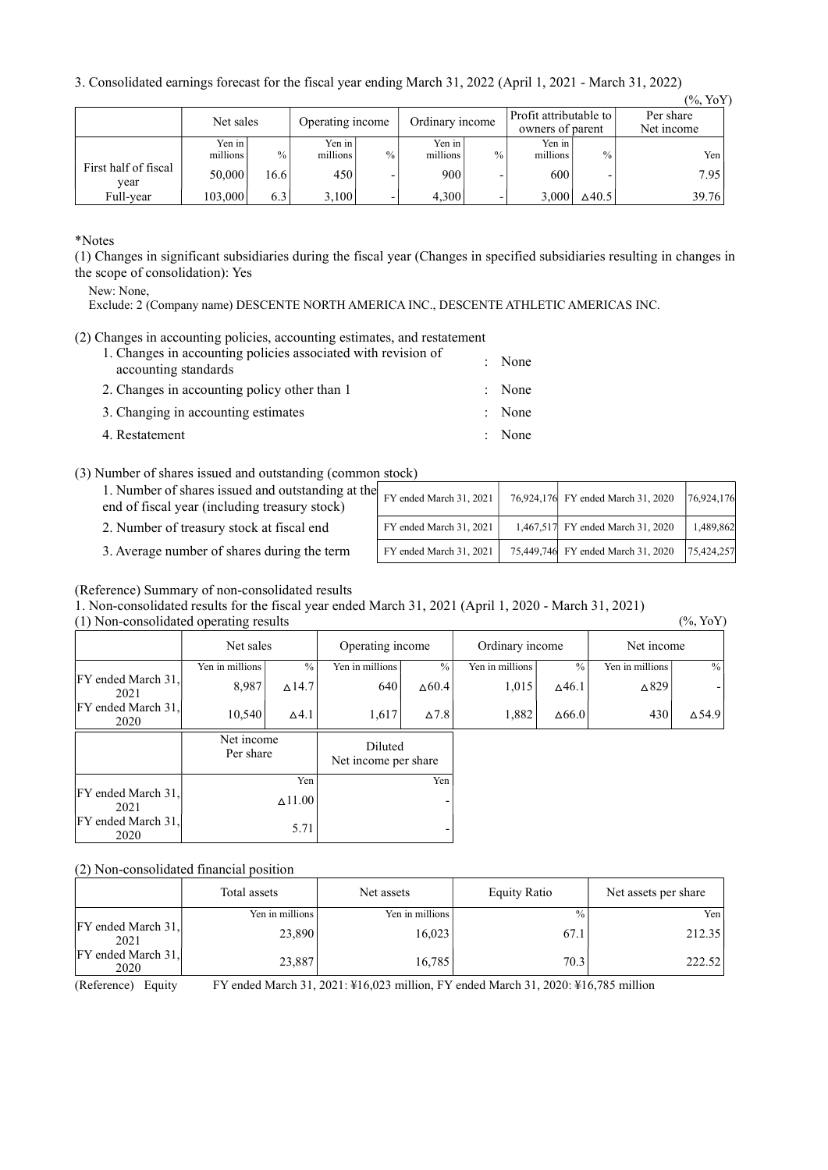3. Consolidated earnings forecast for the fiscal year ending March 31, 2022 (April 1, 2021 - March 31, 2022)

|                              |                    |      |                    |      | ັ                  |                          |                                            |                  | $(\%$ , YoY)            |
|------------------------------|--------------------|------|--------------------|------|--------------------|--------------------------|--------------------------------------------|------------------|-------------------------|
|                              | Net sales          |      | Operating income   |      | Ordinary income    |                          | Profit attributable to<br>owners of parent |                  | Per share<br>Net income |
|                              | Yen in<br>millions | $\%$ | Yen in<br>millions | $\%$ | Yen in<br>millions | $\frac{0}{0}$            | Yen in<br>millions                         | $\frac{0}{0}$    | Yen                     |
| First half of fiscal<br>vear | 50,000             | 16.6 | 450                |      | 900                | $\overline{\phantom{0}}$ | 600                                        |                  | 7.95                    |
| Full-year                    | 103,000            | 6.3  | 3,100              |      | 4,300              | $\overline{\phantom{0}}$ | 3,000                                      | $\triangle$ 40.5 | 39.76                   |

\*Notes

(1) Changes in significant subsidiaries during the fiscal year (Changes in specified subsidiaries resulting in changes in the scope of consolidation): Yes

New: None,

Exclude: 2 (Company name) DESCENTE NORTH AMERICA INC., DESCENTE ATHLETIC AMERICAS INC.

(2) Changes in accounting policies, accounting estimates, and restatement

| 1. Changes in accounting policies associated with revision of<br>accounting standards | : None |
|---------------------------------------------------------------------------------------|--------|
| 2. Changes in accounting policy other than 1                                          | : None |
| 3. Changing in accounting estimates                                                   | : None |
| 4. Restatement                                                                        | : None |

(3) Number of shares issued and outstanding (common stock)

| 1. Number of shares issued and outstanding at the<br>end of fiscal year (including treasury stock) | FY ended March 31, 2021 | 76,924,176 FY ended March 31, 2020 | 76,924,176 |
|----------------------------------------------------------------------------------------------------|-------------------------|------------------------------------|------------|
| 2. Number of treasury stock at fiscal end                                                          | FY ended March 31, 2021 | 1,467,517 FY ended March 31, 2020  | 1,489,862  |
| 3. Average number of shares during the term                                                        | FY ended March 31, 2021 | 75,449,746 FY ended March 31, 2020 | 75,424,257 |

# (Reference) Summary of non-consolidated results

1. Non-consolidated results for the fiscal year ended March 31, 2021 (April 1, 2020 - March 31, 2021)

(1) Non-consolidated operating results (%, YoY) Net sales Deperating income Cordinary income Net income Yen in millions % Yen in millions % Yen in millions % Yen in millions % FY ended March 31, 2021 8,987  $\begin{bmatrix} 8.987 & 214.7 \end{bmatrix}$  640  $\Delta 60.4$  1,015  $\Delta 46.1$   $\Delta 829$  -FY ended March 31<br>2020 2020  $\begin{bmatrix} 10,540 \\ 2020 \end{bmatrix}$   $\begin{bmatrix} 10,540 \\ 0.41 \end{bmatrix}$   $\begin{bmatrix} 1,617 \\ 1,617 \end{bmatrix}$   $\begin{bmatrix} 27.8 \\ 0.78 \end{bmatrix}$   $\begin{bmatrix} 1,882 \\ 0.66.0 \end{bmatrix}$   $\begin{bmatrix} 430 \\ 430 \end{bmatrix}$   $\begin{bmatrix} 254.9 \\ 0.54.9 \end{bmatrix}$ F Net income<br>Per share Per share Diluted<br>
Net income per share Yen Yen FY ended March 31,  $2021$   $\Delta$ 11.00 FY ended March 31  $2020$  5.71

# (2) Non-consolidated financial position

|                            | Total assets      | Net assets      | <b>Equity Ratio</b> | Net assets per share |
|----------------------------|-------------------|-----------------|---------------------|----------------------|
|                            | Yen in millions l | Yen in millions | $\frac{0}{0}$       | Yen                  |
| FY ended March 31,<br>2021 | 23,890            | 16,023          | 67.1                | 212.35               |
| FY ended March 31.<br>2020 | 23,887            | 16.785          | 70.3                | 222.52               |
| $\sim$ $\sim$ $\sim$       | ___               | .<br>.<br>____  | .<br>.              | .                    |

(Reference) Equity FY ended March 31, 2021: ¥16,023 million, FY ended March 31, 2020: ¥16,785 million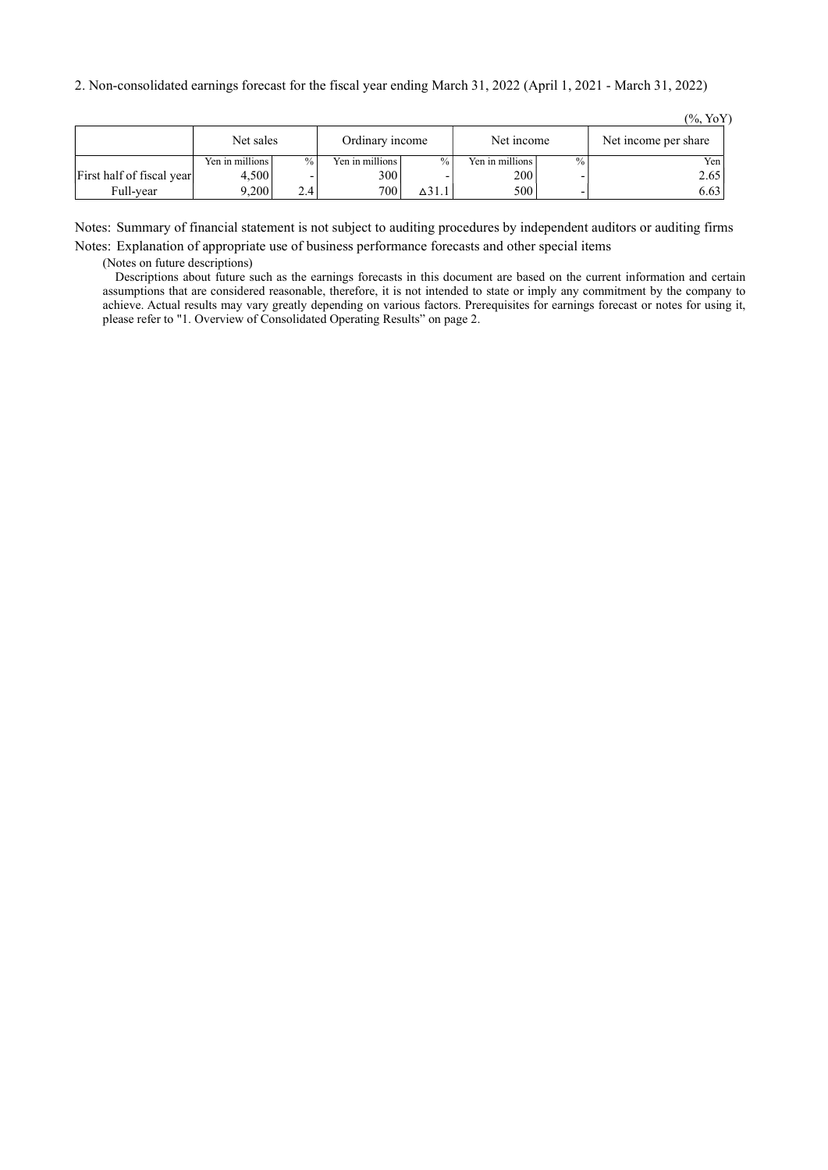|                           |                 |      |                   |                  |                 |               | $(\%$ , YoY)         |
|---------------------------|-----------------|------|-------------------|------------------|-----------------|---------------|----------------------|
|                           | Net sales       |      | Ordinary income   |                  | Net income      |               | Net income per share |
|                           | Yen in millions | $\%$ | Yen in millions l | $\%$             | Yen in millions | $\frac{0}{0}$ | Yen                  |
| First half of fiscal year | 4.500           |      | 300               |                  | 200             |               | 2.65                 |
| Full-year                 | 9.200           | 2.4  | 700               | $\triangle$ 31.1 | 500             |               | 6.63                 |

Notes: Summary of financial statement is not subject to auditing procedures by independent auditors or auditing firms Notes: Explanation of appropriate use of business performance forecasts and other special items

(Notes on future descriptions)

Descriptions about future such as the earnings forecasts in this document are based on the current information and certain assumptions that are considered reasonable, therefore, it is not intended to state or imply any commitment by the company to achieve. Actual results may vary greatly depending on various factors. Prerequisites for earnings forecast or notes for using it, please refer to "1. Overview of Consolidated Operating Results" on page 2.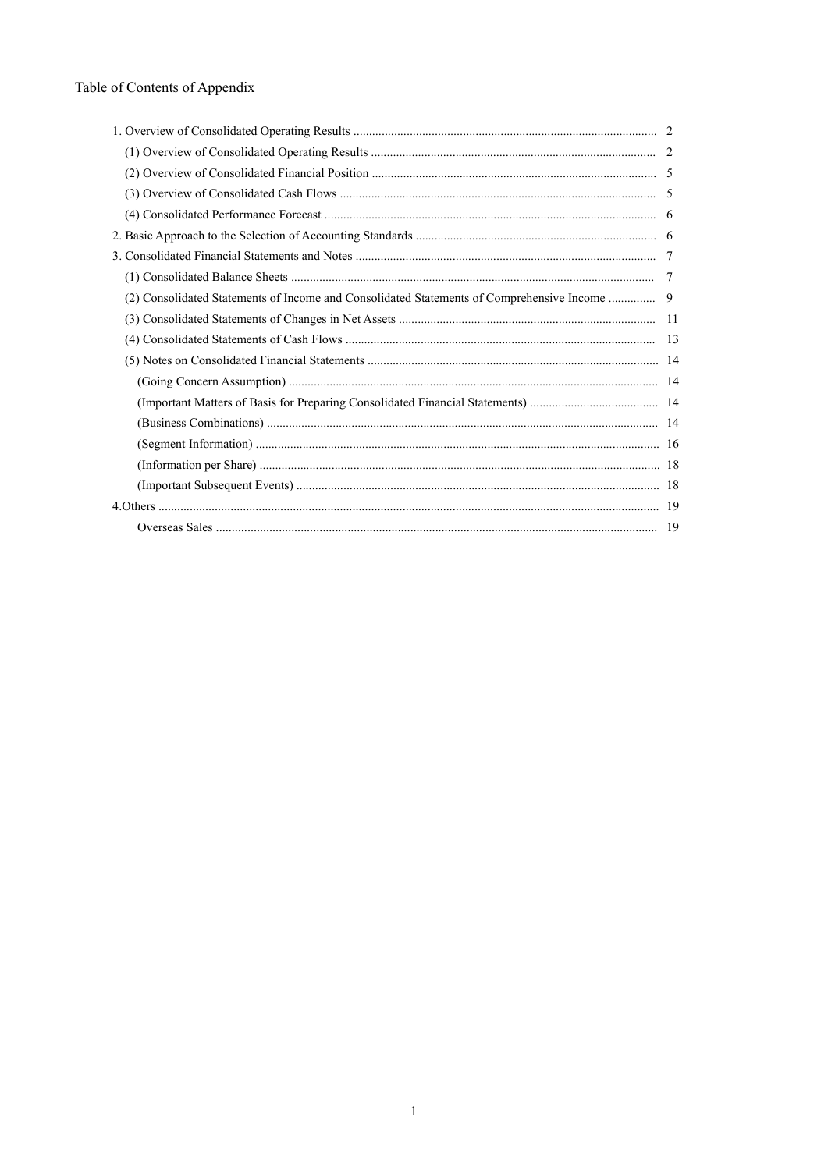# Table of Contents of Appendix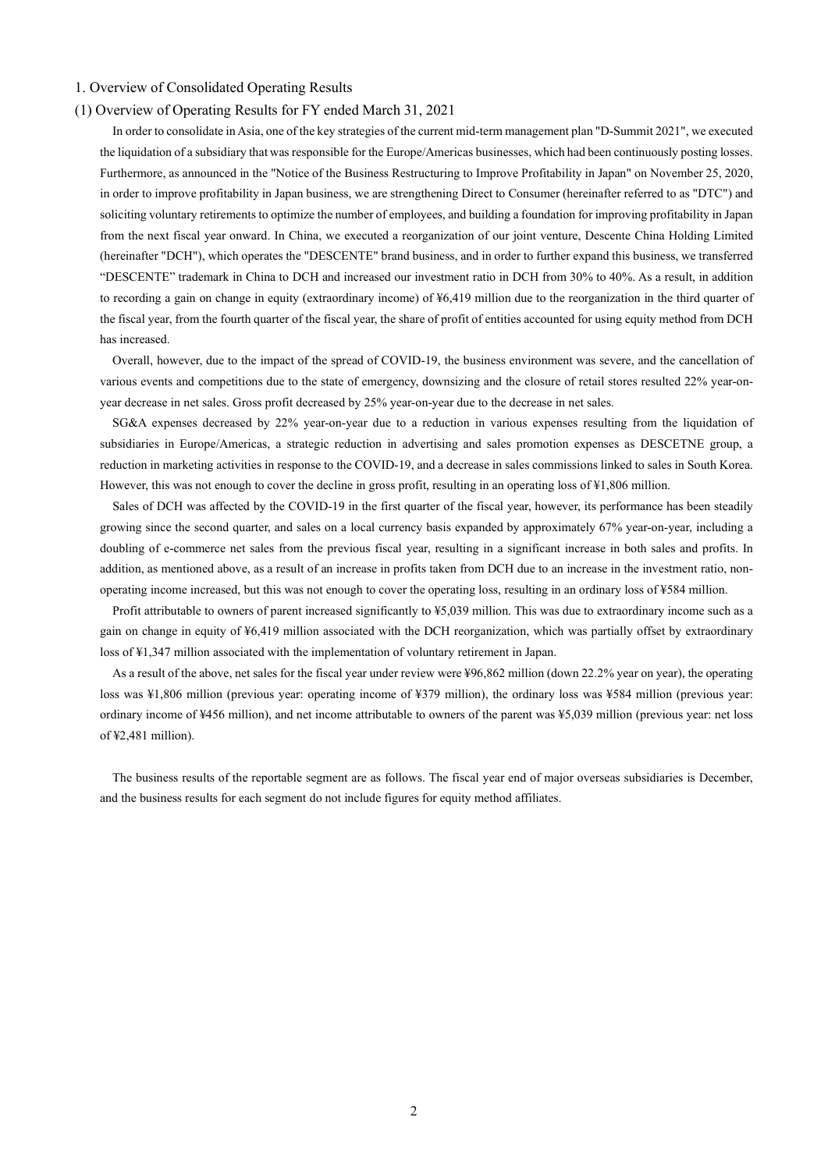## 1. Overview of Consolidated Operating Results

## (1) Overview of Operating Results for FY ended March 31, 2021

In order to consolidate in Asia, one of the key strategies of the current mid-term management plan "D-Summit 2021", we executed the liquidation of a subsidiary that was responsible for the Europe/Americas businesses, which had been continuously posting losses. Furthermore, as announced in the "Notice of the Business Restructuring to Improve Profitability in Japan" on November 25, 2020, in order to improve profitability in Japan business, we are strengthening Direct to Consumer (hereinafter referred to as "DTC") and soliciting voluntary retirements to optimize the number of employees, and building a foundation for improving profitability in Japan from the next fiscal year onward. In China, we executed a reorganization of our joint venture, Descente China Holding Limited (hereinafter "DCH"), which operates the "DESCENTE" brand business, and in order to further expand this business, we transferred "DESCENTE" trademark in China to DCH and increased our investment ratio in DCH from 30% to 40%. As a result, in addition to recording a gain on change in equity (extraordinary income) of ¥6,419 million due to the reorganization in the third quarter of the fiscal year, from the fourth quarter of the fiscal year, the share of profit of entities accounted for using equity method from DCH has increased.

Overall, however, due to the impact of the spread of COVID-19, the business environment was severe, and the cancellation of various events and competitions due to the state of emergency, downsizing and the closure of retail stores resulted 22% year-onyear decrease in net sales. Gross profit decreased by 25% year-on-year due to the decrease in net sales.

SG&A expenses decreased by 22% year-on-year due to a reduction in various expenses resulting from the liquidation of subsidiaries in Europe/Americas, a strategic reduction in advertising and sales promotion expenses as DESCETNE group, a reduction in marketing activities in response to the COVID-19, and a decrease in sales commissions linked to sales in South Korea. However, this was not enough to cover the decline in gross profit, resulting in an operating loss of ¥1,806 million.

 Sales of DCH was affected by the COVID-19 in the first quarter of the fiscal year, however, its performance has been steadily growing since the second quarter, and sales on a local currency basis expanded by approximately 67% year-on-year, including a doubling of e-commerce net sales from the previous fiscal year, resulting in a significant increase in both sales and profits. In addition, as mentioned above, as a result of an increase in profits taken from DCH due to an increase in the investment ratio, nonoperating income increased, but this was not enough to cover the operating loss, resulting in an ordinary loss of ¥584 million.

Profit attributable to owners of parent increased significantly to ¥5,039 million. This was due to extraordinary income such as a gain on change in equity of ¥6,419 million associated with the DCH reorganization, which was partially offset by extraordinary loss of ¥1,347 million associated with the implementation of voluntary retirement in Japan.

As a result of the above, net sales for the fiscal year under review were ¥96,862 million (down 22.2% year on year), the operating loss was ¥1,806 million (previous year: operating income of ¥379 million), the ordinary loss was ¥584 million (previous year: ordinary income of ¥456 million), and net income attributable to owners of the parent was ¥5,039 million (previous year: net loss of ¥2,481 million).

The business results of the reportable segment are as follows. The fiscal year end of major overseas subsidiaries is December, and the business results for each segment do not include figures for equity method affiliates.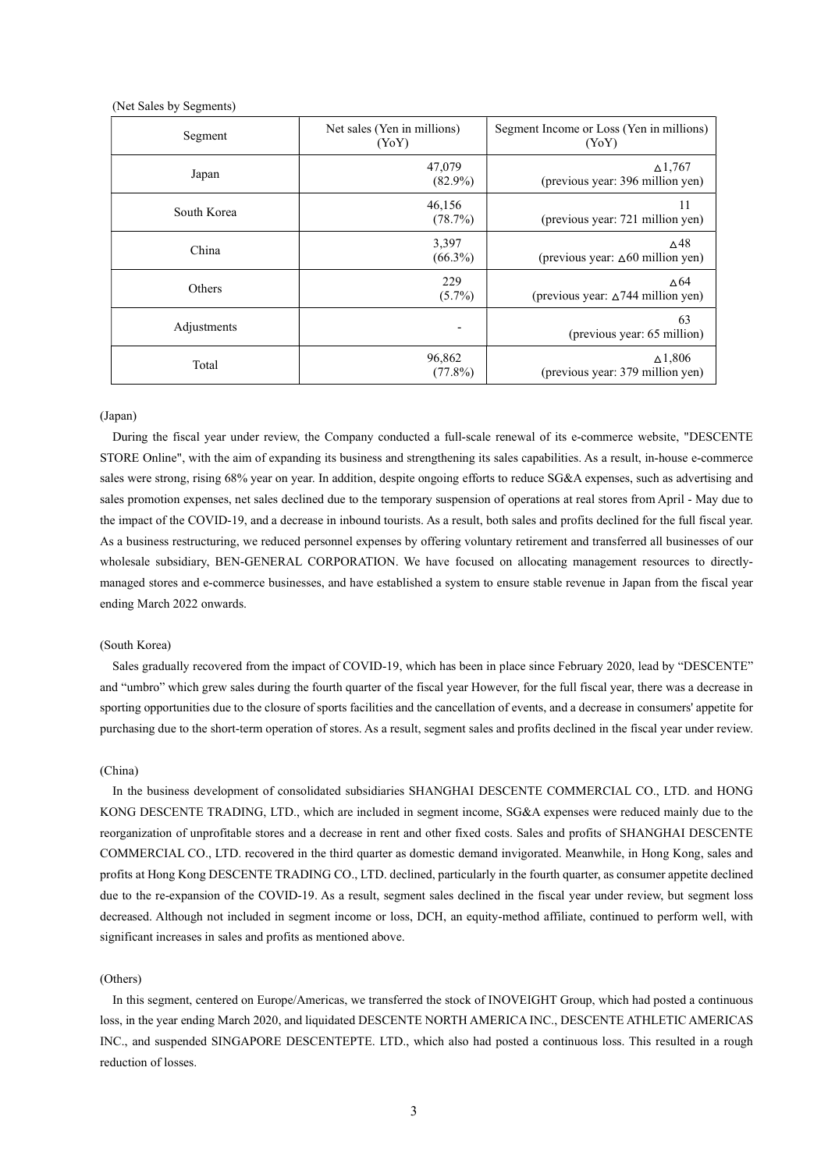|  |  |  | (Net Sales by Segments) |
|--|--|--|-------------------------|
|--|--|--|-------------------------|

| Segment     | Net sales (Yen in millions)<br>(YoY) | Segment Income or Loss (Yen in millions)<br>(YoY)              |
|-------------|--------------------------------------|----------------------------------------------------------------|
| Japan       | 47,079<br>$(82.9\%)$                 | $\Delta$ 1,767<br>(previous year: 396 million yen)             |
| South Korea | 46,156<br>(78.7%)                    | 11<br>(previous year: 721 million yen)                         |
| China       | 3,397<br>$(66.3\%)$                  | ∆48<br>(previous year: ∆60 million yen)                        |
| Others      | 229<br>$(5.7\%)$                     | $\triangle$ 64<br>(previous year: $\triangle$ 744 million yen) |
| Adjustments | ۰                                    | 63<br>(previous year: 65 million)                              |
| Total       | 96,862<br>$(77.8\%)$                 | $\Delta$ 1,806<br>(previous year: 379 million yen)             |

#### (Japan)

During the fiscal year under review, the Company conducted a full-scale renewal of its e-commerce website, "DESCENTE STORE Online", with the aim of expanding its business and strengthening its sales capabilities. As a result, in-house e-commerce sales were strong, rising 68% year on year. In addition, despite ongoing efforts to reduce SG&A expenses, such as advertising and sales promotion expenses, net sales declined due to the temporary suspension of operations at real stores from April - May due to the impact of the COVID-19, and a decrease in inbound tourists. As a result, both sales and profits declined for the full fiscal year. As a business restructuring, we reduced personnel expenses by offering voluntary retirement and transferred all businesses of our wholesale subsidiary, BEN-GENERAL CORPORATION. We have focused on allocating management resources to directlymanaged stores and e-commerce businesses, and have established a system to ensure stable revenue in Japan from the fiscal year ending March 2022 onwards.

## (South Korea)

Sales gradually recovered from the impact of COVID-19, which has been in place since February 2020, lead by "DESCENTE" and "umbro" which grew sales during the fourth quarter of the fiscal year However, for the full fiscal year, there was a decrease in sporting opportunities due to the closure of sports facilities and the cancellation of events, and a decrease in consumers' appetite for purchasing due to the short-term operation of stores. As a result, segment sales and profits declined in the fiscal year under review.

#### (China)

In the business development of consolidated subsidiaries SHANGHAI DESCENTE COMMERCIAL CO., LTD. and HONG KONG DESCENTE TRADING, LTD., which are included in segment income, SG&A expenses were reduced mainly due to the reorganization of unprofitable stores and a decrease in rent and other fixed costs. Sales and profits of SHANGHAI DESCENTE COMMERCIAL CO., LTD. recovered in the third quarter as domestic demand invigorated. Meanwhile, in Hong Kong, sales and profits at Hong Kong DESCENTE TRADING CO., LTD. declined, particularly in the fourth quarter, as consumer appetite declined due to the re-expansion of the COVID-19. As a result, segment sales declined in the fiscal year under review, but segment loss decreased. Although not included in segment income or loss, DCH, an equity-method affiliate, continued to perform well, with significant increases in sales and profits as mentioned above.

## (Others)

In this segment, centered on Europe/Americas, we transferred the stock of INOVEIGHT Group, which had posted a continuous loss, in the year ending March 2020, and liquidated DESCENTE NORTH AMERICA INC., DESCENTE ATHLETIC AMERICAS INC., and suspended SINGAPORE DESCENTEPTE. LTD., which also had posted a continuous loss. This resulted in a rough reduction of losses.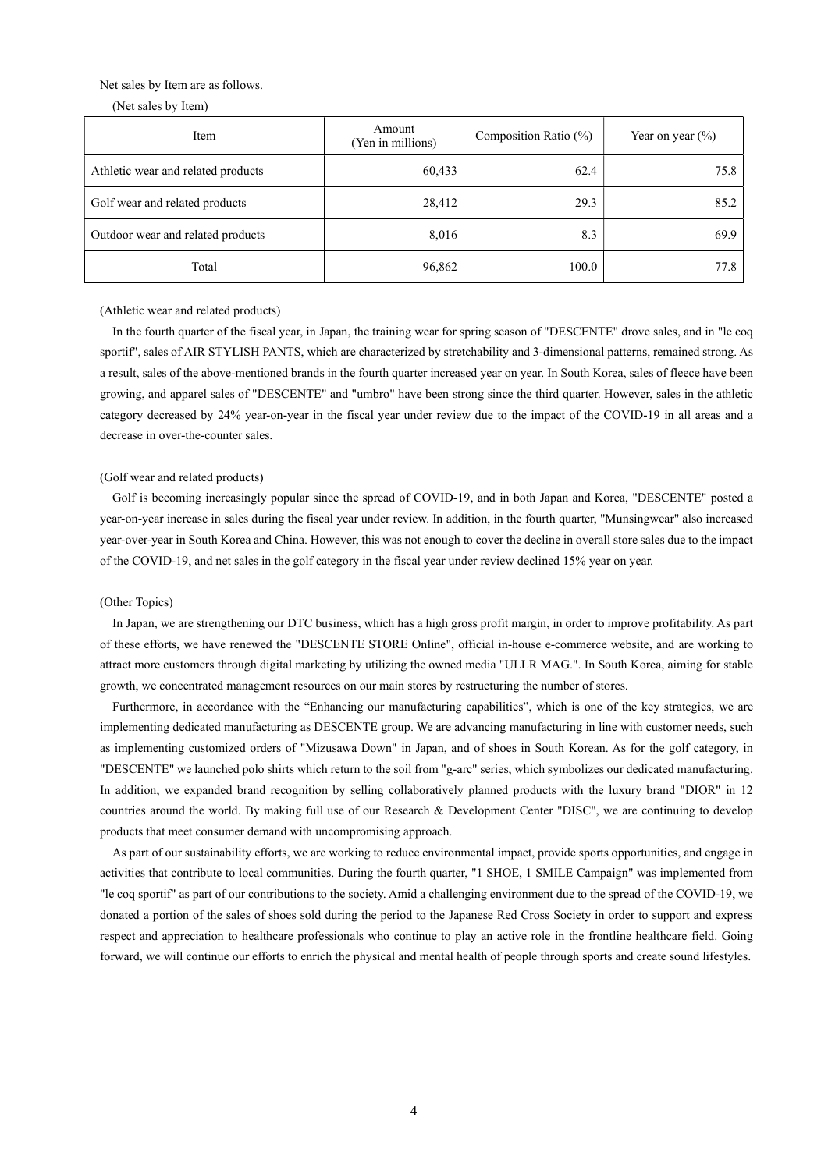### Net sales by Item are as follows.

(Net sales by Item)

| Item                               | Amount<br>(Yen in millions) | Composition Ratio (%) | Year on year $(\% )$ |
|------------------------------------|-----------------------------|-----------------------|----------------------|
| Athletic wear and related products | 60,433                      | 62.4                  | 75.8                 |
| Golf wear and related products     | 28,412                      | 29.3                  | 85.2                 |
| Outdoor wear and related products  | 8,016                       | 8.3                   | 69.9                 |
| Total                              | 96,862                      | 100.0                 | 77.8                 |

(Athletic wear and related products)

In the fourth quarter of the fiscal year, in Japan, the training wear for spring season of "DESCENTE" drove sales, and in "le coq sportif", sales of AIR STYLISH PANTS, which are characterized by stretchability and 3-dimensional patterns, remained strong. As a result, sales of the above-mentioned brands in the fourth quarter increased year on year. In South Korea, sales of fleece have been growing, and apparel sales of "DESCENTE" and "umbro" have been strong since the third quarter. However, sales in the athletic category decreased by 24% year-on-year in the fiscal year under review due to the impact of the COVID-19 in all areas and a decrease in over-the-counter sales.

### (Golf wear and related products)

Golf is becoming increasingly popular since the spread of COVID-19, and in both Japan and Korea, "DESCENTE" posted a year-on-year increase in sales during the fiscal year under review. In addition, in the fourth quarter, "Munsingwear" also increased year-over-year in South Korea and China. However, this was not enough to cover the decline in overall store sales due to the impact of the COVID-19, and net sales in the golf category in the fiscal year under review declined 15% year on year.

#### (Other Topics)

In Japan, we are strengthening our DTC business, which has a high gross profit margin, in order to improve profitability. As part of these efforts, we have renewed the "DESCENTE STORE Online", official in-house e-commerce website, and are working to attract more customers through digital marketing by utilizing the owned media "ULLR MAG.". In South Korea, aiming for stable growth, we concentrated management resources on our main stores by restructuring the number of stores.

Furthermore, in accordance with the "Enhancing our manufacturing capabilities", which is one of the key strategies, we are implementing dedicated manufacturing as DESCENTE group. We are advancing manufacturing in line with customer needs, such as implementing customized orders of "Mizusawa Down" in Japan, and of shoes in South Korean. As for the golf category, in "DESCENTE" we launched polo shirts which return to the soil from "g-arc" series, which symbolizes our dedicated manufacturing. In addition, we expanded brand recognition by selling collaboratively planned products with the luxury brand "DIOR" in 12 countries around the world. By making full use of our Research & Development Center "DISC", we are continuing to develop products that meet consumer demand with uncompromising approach.

As part of our sustainability efforts, we are working to reduce environmental impact, provide sports opportunities, and engage in activities that contribute to local communities. During the fourth quarter, "1 SHOE, 1 SMILE Campaign" was implemented from "le coq sportif" as part of our contributions to the society. Amid a challenging environment due to the spread of the COVID-19, we donated a portion of the sales of shoes sold during the period to the Japanese Red Cross Society in order to support and express respect and appreciation to healthcare professionals who continue to play an active role in the frontline healthcare field. Going forward, we will continue our efforts to enrich the physical and mental health of people through sports and create sound lifestyles.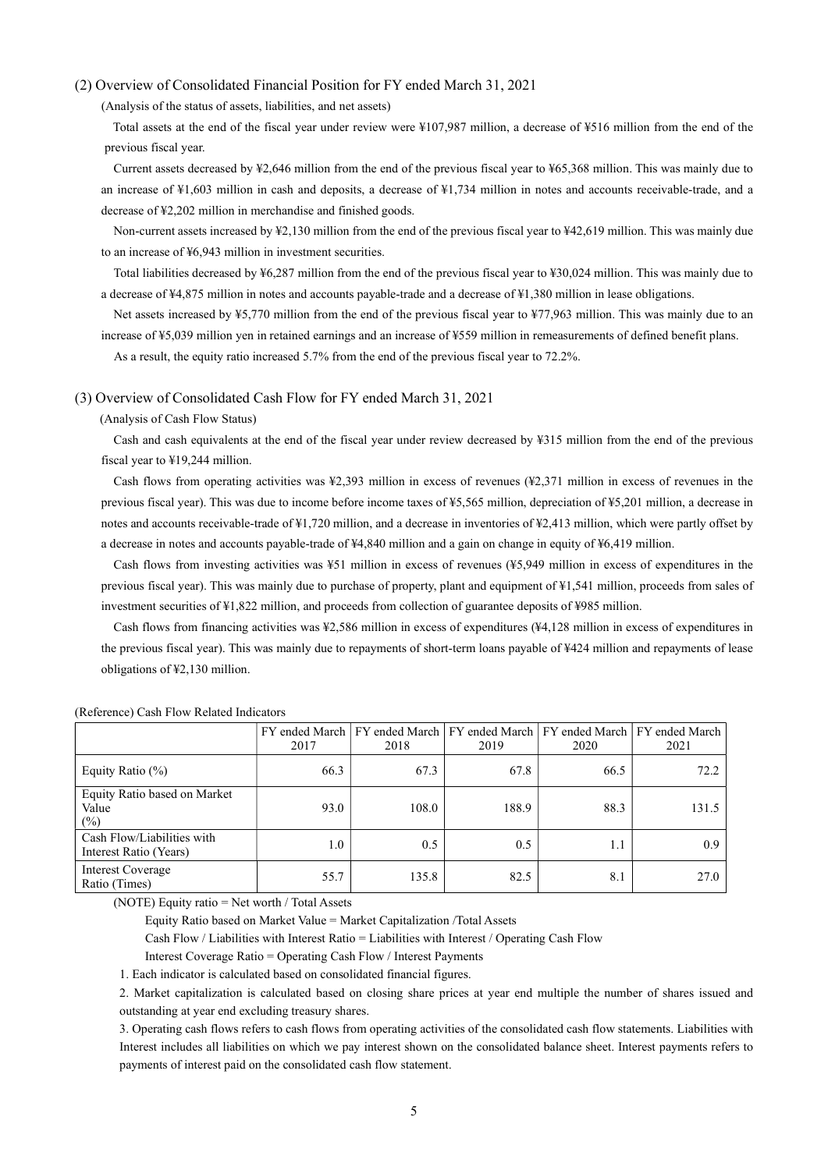### (2) Overview of Consolidated Financial Position for FY ended March 31, 2021

(Analysis of the status of assets, liabilities, and net assets)

Total assets at the end of the fiscal year under review were ¥107,987 million, a decrease of ¥516 million from the end of the previous fiscal year.

Current assets decreased by ¥2,646 million from the end of the previous fiscal year to ¥65,368 million. This was mainly due to an increase of ¥1,603 million in cash and deposits, a decrease of ¥1,734 million in notes and accounts receivable-trade, and a decrease of ¥2,202 million in merchandise and finished goods.

Non-current assets increased by ¥2,130 million from the end of the previous fiscal year to ¥42,619 million. This was mainly due to an increase of ¥6,943 million in investment securities.

Total liabilities decreased by ¥6,287 million from the end of the previous fiscal year to ¥30,024 million. This was mainly due to a decrease of ¥4,875 million in notes and accounts payable-trade and a decrease of ¥1,380 million in lease obligations.

Net assets increased by ¥5,770 million from the end of the previous fiscal year to ¥77,963 million. This was mainly due to an increase of ¥5,039 million yen in retained earnings and an increase of ¥559 million in remeasurements of defined benefit plans.

As a result, the equity ratio increased 5.7% from the end of the previous fiscal year to 72.2%.

### (3) Overview of Consolidated Cash Flow for FY ended March 31, 2021

(Analysis of Cash Flow Status)

Cash and cash equivalents at the end of the fiscal year under review decreased by ¥315 million from the end of the previous fiscal year to ¥19,244 million.

Cash flows from operating activities was ¥2,393 million in excess of revenues (¥2,371 million in excess of revenues in the previous fiscal year). This was due to income before income taxes of ¥5,565 million, depreciation of ¥5,201 million, a decrease in notes and accounts receivable-trade of ¥1,720 million, and a decrease in inventories of ¥2,413 million, which were partly offset by a decrease in notes and accounts payable-trade of ¥4,840 million and a gain on change in equity of ¥6,419 million.

Cash flows from investing activities was ¥51 million in excess of revenues (¥5,949 million in excess of expenditures in the previous fiscal year). This was mainly due to purchase of property, plant and equipment of ¥1,541 million, proceeds from sales of investment securities of ¥1,822 million, and proceeds from collection of guarantee deposits of ¥985 million.

Cash flows from financing activities was ¥2,586 million in excess of expenditures (¥4,128 million in excess of expenditures in the previous fiscal year). This was mainly due to repayments of short-term loans payable of ¥424 million and repayments of lease obligations of ¥2,130 million.

|                                                      | 2017 | FY ended March   FY ended March  <br>2018 | FY ended March<br>2019 | 2020 | FY ended March FY ended March<br>2021 |
|------------------------------------------------------|------|-------------------------------------------|------------------------|------|---------------------------------------|
| Equity Ratio $(\%)$                                  | 66.3 | 67.3                                      | 67.8                   | 66.5 | 72.2                                  |
| Equity Ratio based on Market<br>Value<br>(%)         | 93.0 | 108.0                                     | 188.9                  | 88.3 | 131.5                                 |
| Cash Flow/Liabilities with<br>Interest Ratio (Years) | 1.0  | 0.5                                       | 0.5                    | 1.1  | 0.9 <sup>°</sup>                      |
| <b>Interest Coverage</b><br>Ratio (Times)            | 55.7 | 135.8                                     | 82.5                   | 8.1  | 27.0                                  |

(Reference) Cash Flow Related Indicators

(NOTE) Equity ratio = Net worth / Total Assets

Equity Ratio based on Market Value = Market Capitalization /Total Assets

Cash Flow / Liabilities with Interest Ratio = Liabilities with Interest / Operating Cash Flow

Interest Coverage Ratio = Operating Cash Flow / Interest Payments

1. Each indicator is calculated based on consolidated financial figures.

2. Market capitalization is calculated based on closing share prices at year end multiple the number of shares issued and outstanding at year end excluding treasury shares.

3. Operating cash flows refers to cash flows from operating activities of the consolidated cash flow statements. Liabilities with Interest includes all liabilities on which we pay interest shown on the consolidated balance sheet. Interest payments refers to payments of interest paid on the consolidated cash flow statement.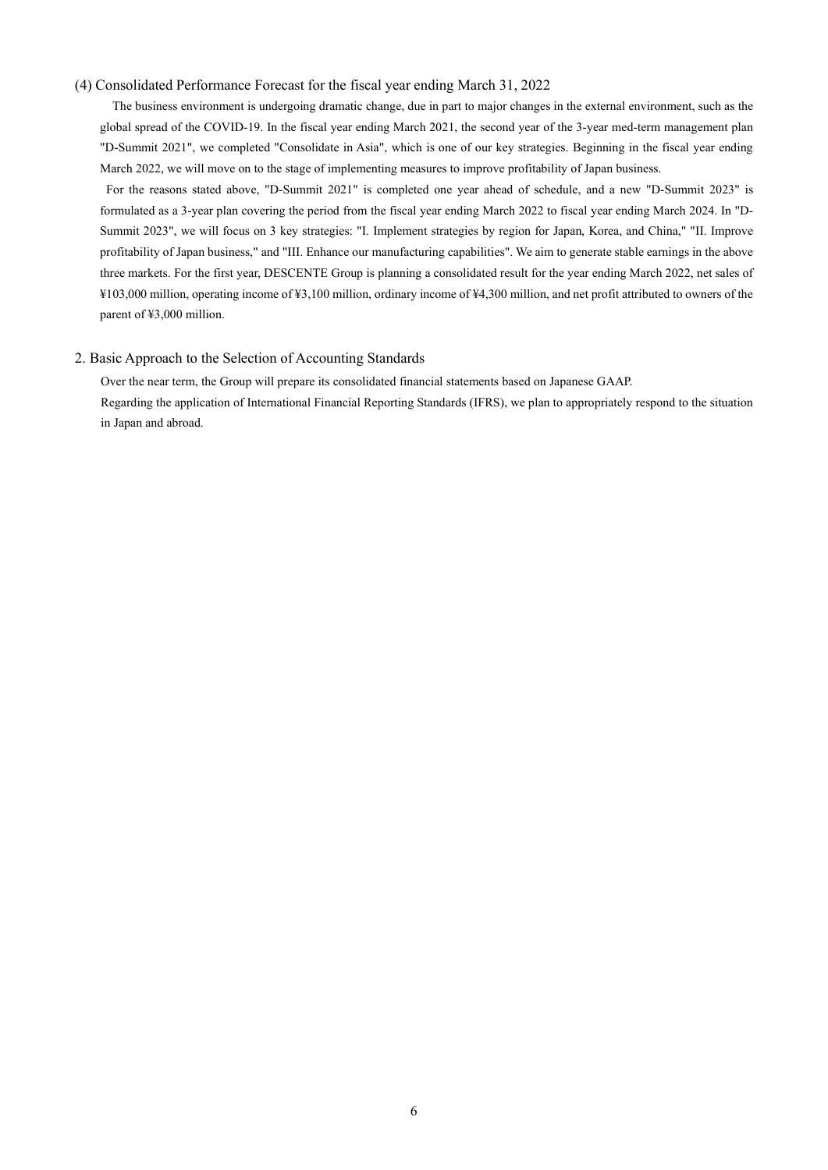## (4) Consolidated Performance Forecast for the fiscal year ending March 31, 2022

The business environment is undergoing dramatic change, due in part to major changes in the external environment, such as the global spread of the COVID-19. In the fiscal year ending March 2021, the second year of the 3-year med-term management plan "D-Summit 2021", we completed "Consolidate in Asia", which is one of our key strategies. Beginning in the fiscal year ending March 2022, we will move on to the stage of implementing measures to improve profitability of Japan business.

For the reasons stated above, "D-Summit 2021" is completed one year ahead of schedule, and a new "D-Summit 2023" is formulated as a 3-year plan covering the period from the fiscal year ending March 2022 to fiscal year ending March 2024. In "D-Summit 2023", we will focus on 3 key strategies: "I. Implement strategies by region for Japan, Korea, and China," "II. Improve profitability of Japan business," and "III. Enhance our manufacturing capabilities". We aim to generate stable earnings in the above three markets. For the first year, DESCENTE Group is planning a consolidated result for the year ending March 2022, net sales of ¥103,000 million, operating income of ¥3,100 million, ordinary income of ¥4,300 million, and net profit attributed to owners of the parent of ¥3,000 million.

# 2. Basic Approach to the Selection of Accounting Standards

Over the near term, the Group will prepare its consolidated financial statements based on Japanese GAAP. Regarding the application of International Financial Reporting Standards (IFRS), we plan to appropriately respond to the situation in Japan and abroad.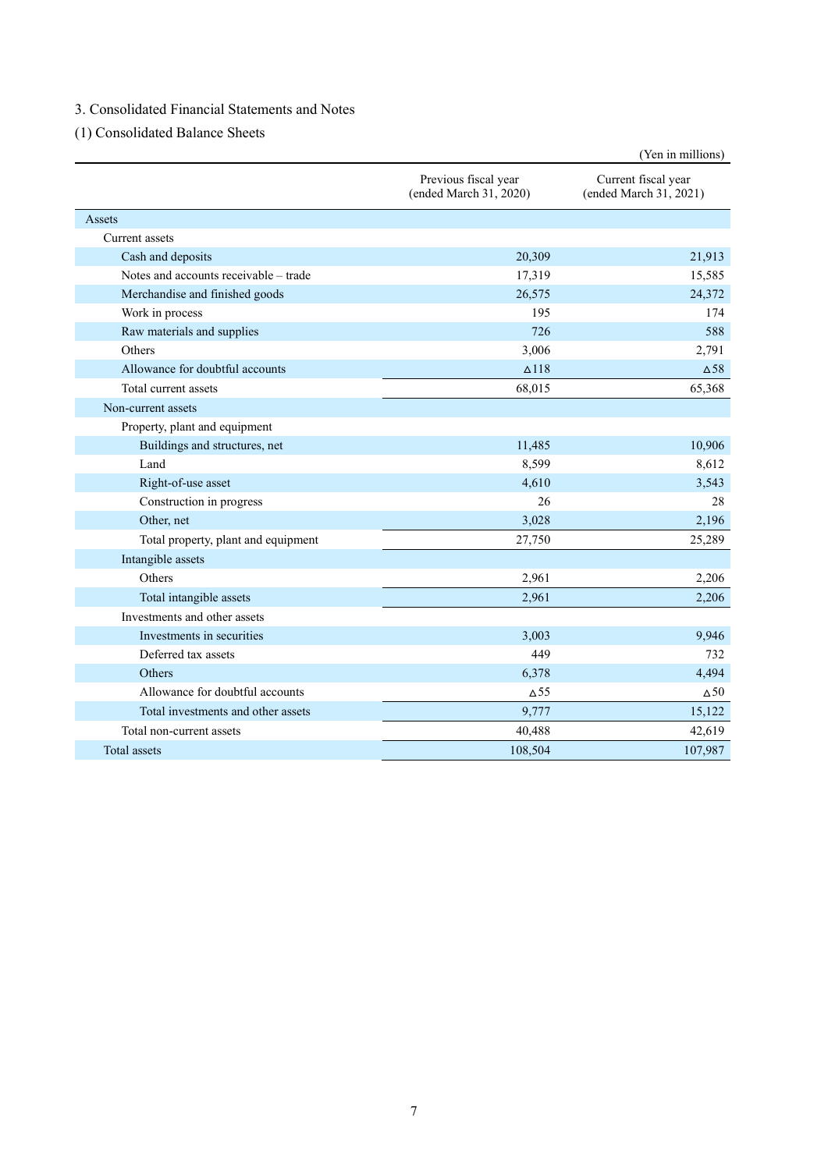# 3. Consolidated Financial Statements and Notes

(1) Consolidated Balance Sheets

|                                       |                                                | (Yen in millions)                             |
|---------------------------------------|------------------------------------------------|-----------------------------------------------|
|                                       | Previous fiscal year<br>(ended March 31, 2020) | Current fiscal year<br>(ended March 31, 2021) |
| Assets                                |                                                |                                               |
| Current assets                        |                                                |                                               |
| Cash and deposits                     | 20,309                                         | 21,913                                        |
| Notes and accounts receivable - trade | 17,319                                         | 15,585                                        |
| Merchandise and finished goods        | 26,575                                         | 24,372                                        |
| Work in process                       | 195                                            | 174                                           |
| Raw materials and supplies            | 726                                            | 588                                           |
| Others                                | 3,006                                          | 2,791                                         |
| Allowance for doubtful accounts       | $\Delta$ 118                                   | $\Delta$ <sup>58</sup>                        |
| Total current assets                  | 68,015                                         | 65,368                                        |
| Non-current assets                    |                                                |                                               |
| Property, plant and equipment         |                                                |                                               |
| Buildings and structures, net         | 11,485                                         | 10,906                                        |
| Land                                  | 8,599                                          | 8,612                                         |
| Right-of-use asset                    | 4,610                                          | 3,543                                         |
| Construction in progress              | 26                                             | 28                                            |
| Other, net                            | 3,028                                          | 2,196                                         |
| Total property, plant and equipment   | 27,750                                         | 25,289                                        |
| Intangible assets                     |                                                |                                               |
| Others                                | 2,961                                          | 2,206                                         |
| Total intangible assets               | 2,961                                          | 2,206                                         |
| Investments and other assets          |                                                |                                               |
| Investments in securities             | 3,003                                          | 9,946                                         |
| Deferred tax assets                   | 449                                            | 732                                           |
| Others                                | 6,378                                          | 4,494                                         |
| Allowance for doubtful accounts       | $\Delta$ 55                                    | $\Delta$ 50                                   |
| Total investments and other assets    | 9,777                                          | 15,122                                        |
| Total non-current assets              | 40,488                                         | 42,619                                        |
| Total assets                          | 108,504                                        | 107,987                                       |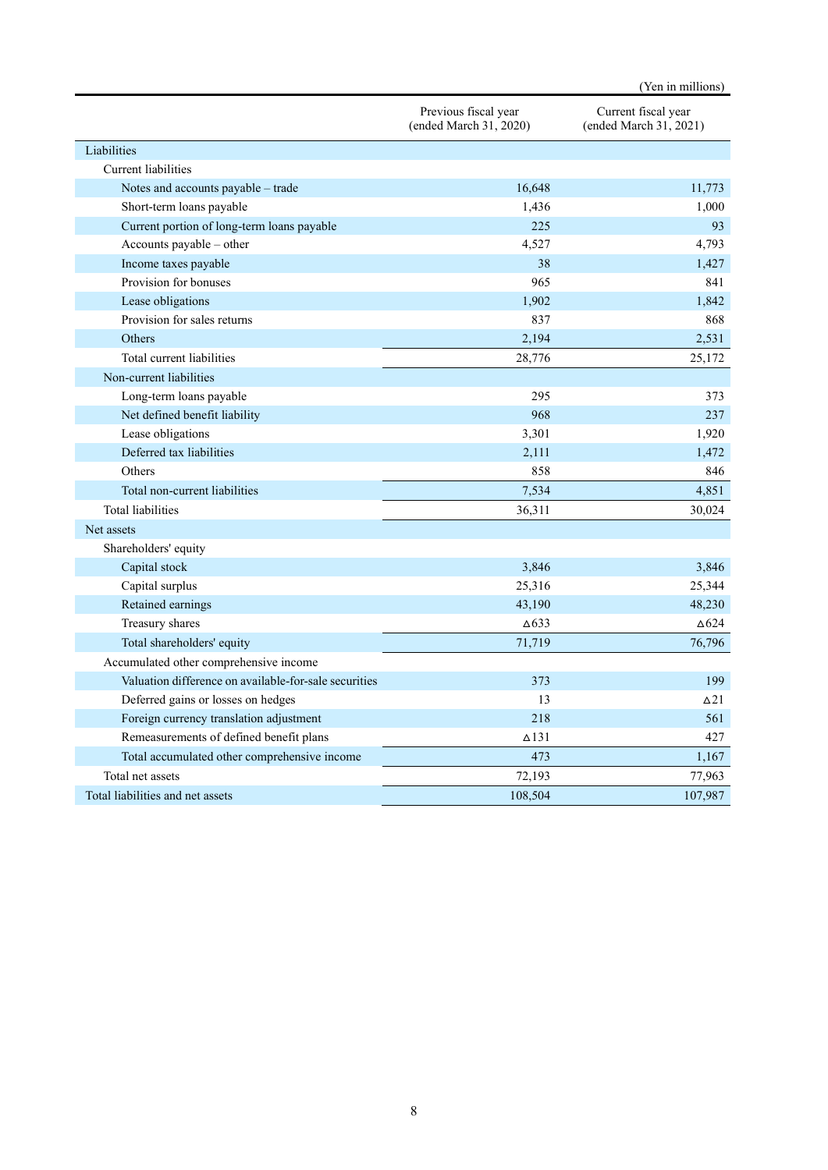|                                                       |                                                | (Yen in millions)                             |
|-------------------------------------------------------|------------------------------------------------|-----------------------------------------------|
|                                                       | Previous fiscal year<br>(ended March 31, 2020) | Current fiscal year<br>(ended March 31, 2021) |
| Liabilities                                           |                                                |                                               |
| Current liabilities                                   |                                                |                                               |
| Notes and accounts payable – trade                    | 16,648                                         | 11,773                                        |
| Short-term loans payable                              | 1,436                                          | 1,000                                         |
| Current portion of long-term loans payable            | 225                                            | 93                                            |
| Accounts payable - other                              | 4,527                                          | 4,793                                         |
| Income taxes payable                                  | 38                                             | 1,427                                         |
| Provision for bonuses                                 | 965                                            | 841                                           |
| Lease obligations                                     | 1,902                                          | 1,842                                         |
| Provision for sales returns                           | 837                                            | 868                                           |
| Others                                                | 2,194                                          | 2,531                                         |
| Total current liabilities                             | 28,776                                         | 25,172                                        |
| Non-current liabilities                               |                                                |                                               |
| Long-term loans payable                               | 295                                            | 373                                           |
| Net defined benefit liability                         | 968                                            | 237                                           |
| Lease obligations                                     | 3,301                                          | 1,920                                         |
| Deferred tax liabilities                              | 2,111                                          | 1,472                                         |
| Others                                                | 858                                            | 846                                           |
| Total non-current liabilities                         | 7,534                                          | 4,851                                         |
| <b>Total liabilities</b>                              | 36,311                                         | 30,024                                        |
| Net assets                                            |                                                |                                               |
| Shareholders' equity                                  |                                                |                                               |
| Capital stock                                         | 3,846                                          | 3,846                                         |
| Capital surplus                                       | 25,316                                         | 25,344                                        |
| Retained earnings                                     | 43,190                                         | 48,230                                        |
| Treasury shares                                       | $\Delta$ 633                                   | $\Delta$ 624                                  |
| Total shareholders' equity                            | 71,719                                         | 76,796                                        |
| Accumulated other comprehensive income                |                                                |                                               |
| Valuation difference on available-for-sale securities | 373                                            | 199                                           |
| Deferred gains or losses on hedges                    | 13                                             | $\triangle$ <sup>21</sup>                     |
| Foreign currency translation adjustment               | 218                                            | 561                                           |
| Remeasurements of defined benefit plans               | $\Delta$ 131                                   | 427                                           |
| Total accumulated other comprehensive income          | 473                                            | 1,167                                         |
| Total net assets                                      | 72,193                                         | 77,963                                        |
| Total liabilities and net assets                      | 108,504                                        | 107,987                                       |
|                                                       |                                                |                                               |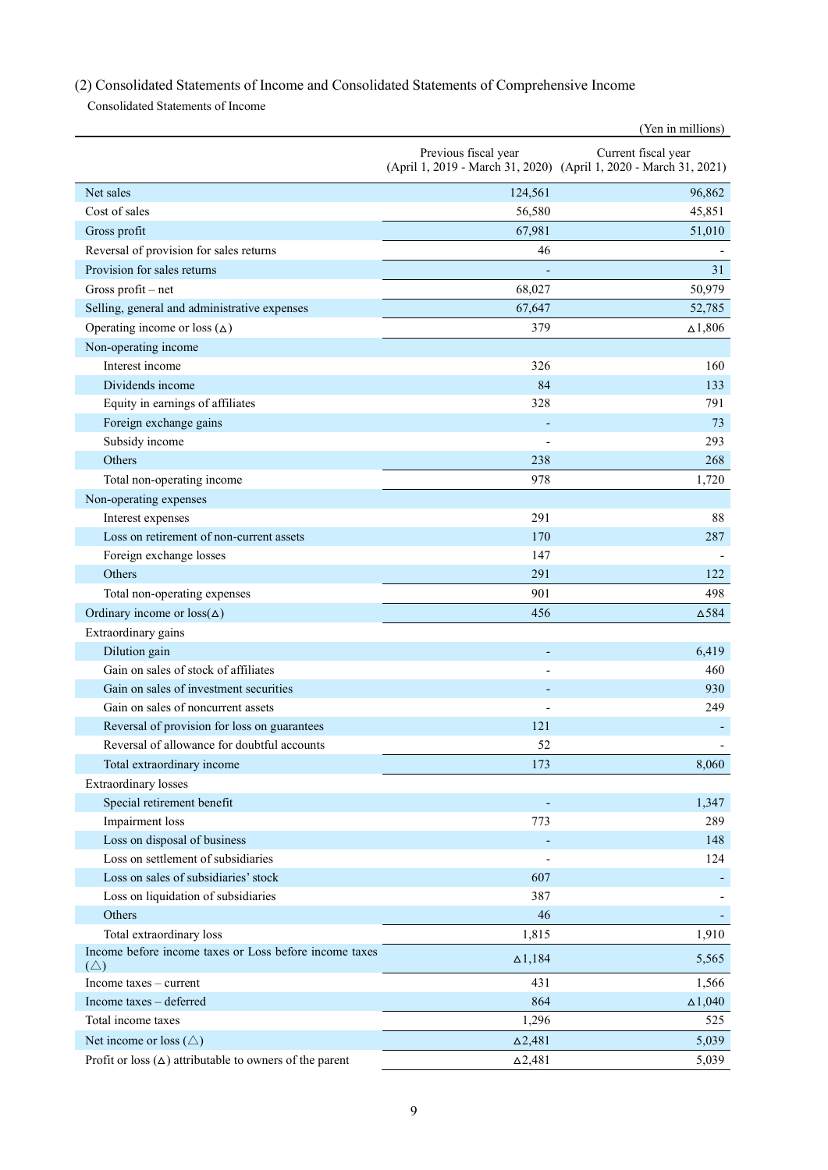# (2) Consolidated Statements of Income and Consolidated Statements of Comprehensive Income

Consolidated Statements of Income

|                                                                         |                      | (Yen in millions)                                                                        |
|-------------------------------------------------------------------------|----------------------|------------------------------------------------------------------------------------------|
|                                                                         | Previous fiscal year | Current fiscal year<br>(April 1, 2019 - March 31, 2020) (April 1, 2020 - March 31, 2021) |
| Net sales                                                               | 124,561              | 96,862                                                                                   |
| Cost of sales                                                           | 56,580               | 45,851                                                                                   |
| Gross profit                                                            | 67,981               | 51,010                                                                                   |
| Reversal of provision for sales returns                                 | 46                   |                                                                                          |
| Provision for sales returns                                             |                      | 31                                                                                       |
| Gross profit - net                                                      | 68,027               | 50,979                                                                                   |
| Selling, general and administrative expenses                            | 67,647               | 52,785                                                                                   |
| Operating income or loss $(\Delta)$                                     | 379                  | $\Delta$ 1,806                                                                           |
| Non-operating income                                                    |                      |                                                                                          |
| Interest income                                                         | 326                  | 160                                                                                      |
| Dividends income                                                        | 84                   | 133                                                                                      |
| Equity in earnings of affiliates                                        | 328                  | 791                                                                                      |
| Foreign exchange gains                                                  |                      | 73                                                                                       |
| Subsidy income                                                          |                      | 293                                                                                      |
| Others                                                                  | 238                  | 268                                                                                      |
| Total non-operating income                                              | 978                  | 1,720                                                                                    |
| Non-operating expenses                                                  |                      |                                                                                          |
| Interest expenses                                                       | 291                  | 88                                                                                       |
| Loss on retirement of non-current assets                                | 170                  | 287                                                                                      |
| Foreign exchange losses                                                 | 147                  |                                                                                          |
| Others                                                                  | 291                  | 122                                                                                      |
| Total non-operating expenses                                            | 901                  | 498                                                                                      |
| Ordinary income or $loss(\Delta)$                                       | 456                  | $\Delta$ 584                                                                             |
| Extraordinary gains                                                     |                      |                                                                                          |
| Dilution gain                                                           |                      | 6,419                                                                                    |
| Gain on sales of stock of affiliates                                    |                      | 460                                                                                      |
| Gain on sales of investment securities                                  |                      | 930                                                                                      |
| Gain on sales of noncurrent assets                                      |                      | 249                                                                                      |
| Reversal of provision for loss on guarantees                            | 121                  |                                                                                          |
| Reversal of allowance for doubtful accounts                             | 52                   |                                                                                          |
| Total extraordinary income                                              | 173                  | 8,060                                                                                    |
| <b>Extraordinary</b> losses                                             |                      |                                                                                          |
| Special retirement benefit                                              |                      | 1,347                                                                                    |
| Impairment loss                                                         | 773                  | 289                                                                                      |
| Loss on disposal of business                                            |                      | 148                                                                                      |
| Loss on settlement of subsidiaries                                      |                      | 124                                                                                      |
| Loss on sales of subsidiaries' stock                                    | 607                  |                                                                                          |
| Loss on liquidation of subsidiaries                                     | 387                  |                                                                                          |
| Others                                                                  | 46                   |                                                                                          |
| Total extraordinary loss                                                | 1,815                | 1,910                                                                                    |
| Income before income taxes or Loss before income taxes<br>$(\triangle)$ | $\Delta$ 1,184       | 5,565                                                                                    |
| Income $taxes - current$                                                | 431                  | 1,566                                                                                    |
| Income taxes - deferred                                                 | 864                  | $\Delta$ 1,040                                                                           |
| Total income taxes                                                      | 1,296                | 525                                                                                      |
| Net income or loss $(\triangle)$                                        | $\Delta$ 2,481       | 5,039                                                                                    |
| Profit or loss $(\Delta)$ attributable to owners of the parent          | $\Delta 2,\!481$     | 5,039                                                                                    |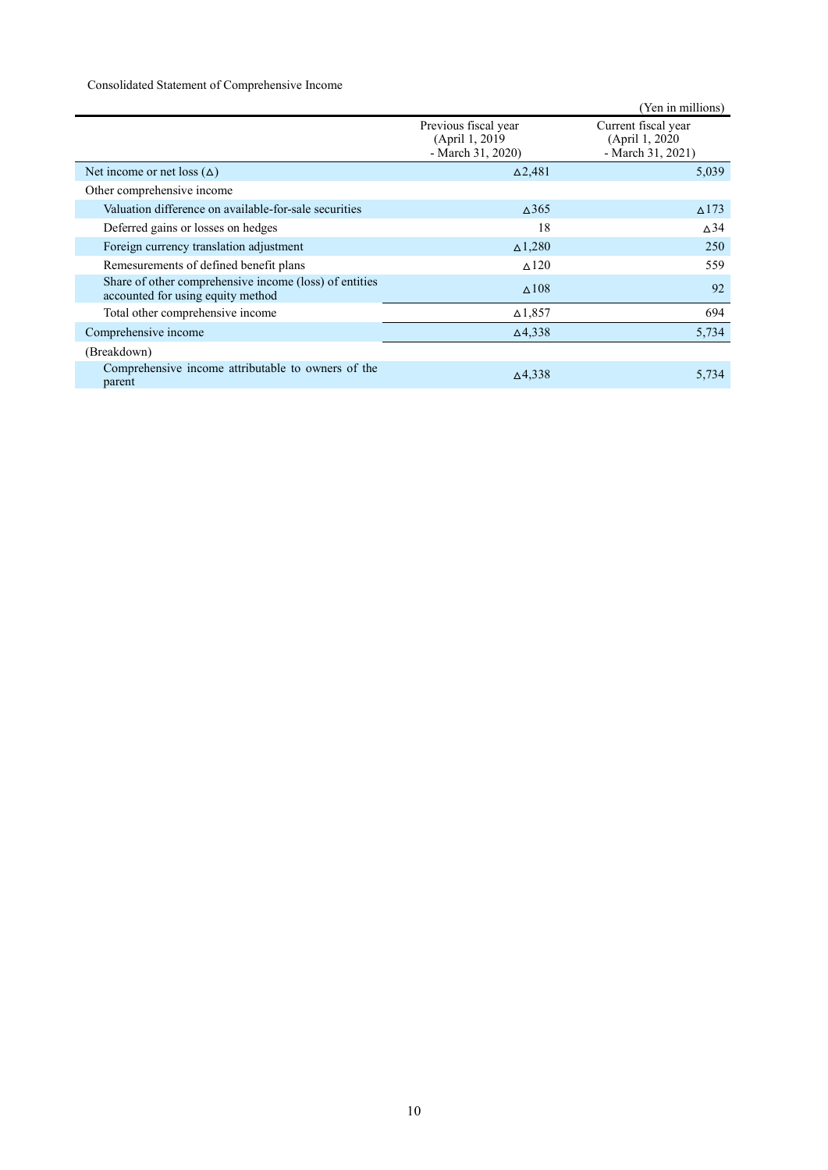# Consolidated Statement of Comprehensive Income

|                                                                                             |                                                              | (Yen in millions)                                           |
|---------------------------------------------------------------------------------------------|--------------------------------------------------------------|-------------------------------------------------------------|
|                                                                                             | Previous fiscal year<br>(April 1, 2019)<br>- March 31, 2020) | Current fiscal year<br>(April 1, 2020)<br>- March 31, 2021) |
| Net income or net loss $(\Delta)$                                                           | $\Delta$ 2,481                                               | 5,039                                                       |
| Other comprehensive income                                                                  |                                                              |                                                             |
| Valuation difference on available-for-sale securities                                       | $\Delta$ 365                                                 | $\Delta$ 173                                                |
| Deferred gains or losses on hedges                                                          | 18                                                           | $\Delta$ 34                                                 |
| Foreign currency translation adjustment                                                     | $\Delta$ 1,280                                               | 250                                                         |
| Remesurements of defined benefit plans                                                      | $\triangle$ 120                                              | 559                                                         |
| Share of other comprehensive income (loss) of entities<br>accounted for using equity method | $\triangle$ 108                                              | 92                                                          |
| Total other comprehensive income                                                            | $\Delta$ 1,857                                               | 694                                                         |
| Comprehensive income                                                                        | $\Delta$ 4,338                                               | 5,734                                                       |
| (Breakdown)                                                                                 |                                                              |                                                             |
| Comprehensive income attributable to owners of the<br>parent                                | $\Delta$ 4,338                                               | 5,734                                                       |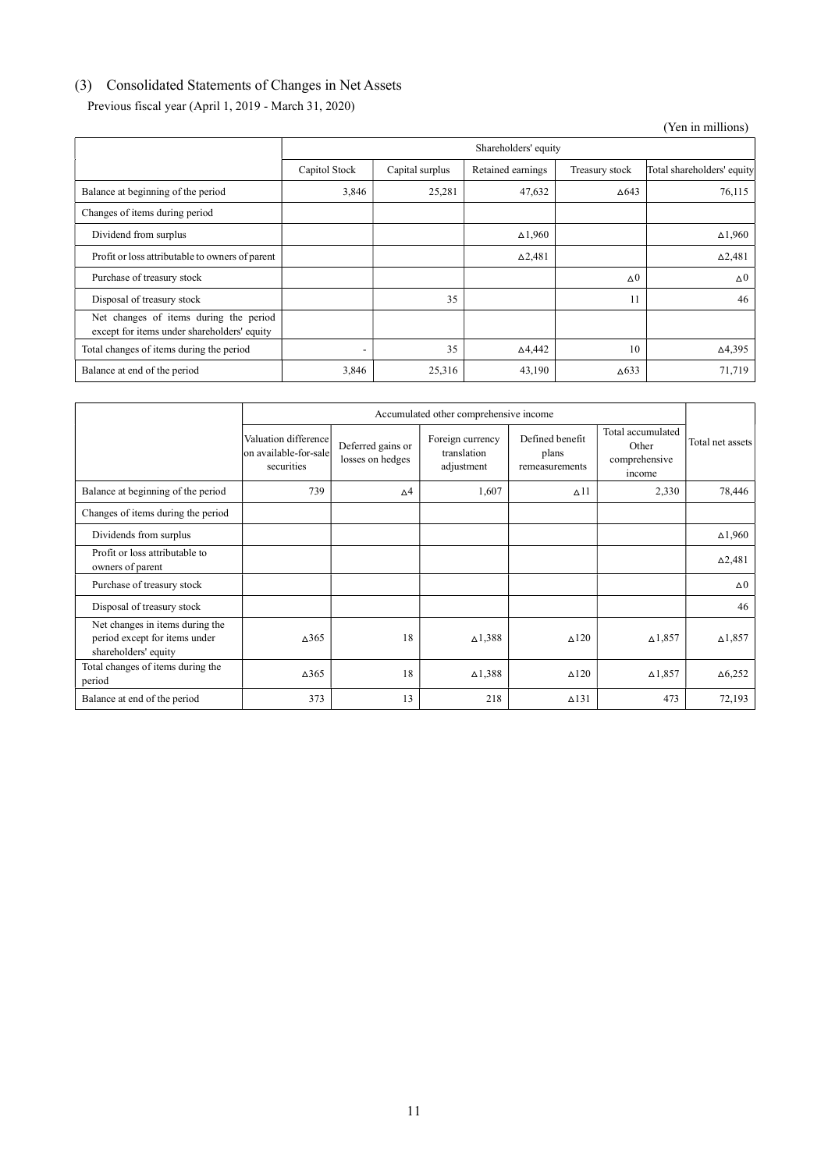# (3) Consolidated Statements of Changes in Net Assets

Previous fiscal year (April 1, 2019 - March 31, 2020)

(Yen in millions)

|                                                                                       | Shareholders' equity |                 |                   |                |                            |  |  |
|---------------------------------------------------------------------------------------|----------------------|-----------------|-------------------|----------------|----------------------------|--|--|
|                                                                                       | Capitol Stock        | Capital surplus | Retained earnings | Treasury stock | Total shareholders' equity |  |  |
| Balance at beginning of the period                                                    | 3,846                | 25,281          | 47,632            | $\Delta$ 643   | 76,115                     |  |  |
| Changes of items during period                                                        |                      |                 |                   |                |                            |  |  |
| Dividend from surplus                                                                 |                      |                 | $\Delta$ 1,960    |                | $\Delta$ 1,960             |  |  |
| Profit or loss attributable to owners of parent                                       |                      |                 | $\Delta 2,481$    |                | $\Delta$ 2,481             |  |  |
| Purchase of treasury stock                                                            |                      |                 |                   | $\Delta 0$     | $\Delta 0$                 |  |  |
| Disposal of treasury stock                                                            |                      | 35              |                   | 11             | 46                         |  |  |
| Net changes of items during the period<br>except for items under shareholders' equity |                      |                 |                   |                |                            |  |  |
| Total changes of items during the period                                              |                      | 35              | $\Delta$ 4,442    | 10             | $\Delta$ 4,395             |  |  |
| Balance at end of the period                                                          | 3,846                | 25,316          | 43,190            | $\Delta$ 633   | 71,719                     |  |  |

|                                                                                          | Accumulated other comprehensive income                       |                                       |                                               |                                            |                                                       |                  |
|------------------------------------------------------------------------------------------|--------------------------------------------------------------|---------------------------------------|-----------------------------------------------|--------------------------------------------|-------------------------------------------------------|------------------|
|                                                                                          | Valuation difference<br>lon available-for-sale<br>securities | Deferred gains or<br>losses on hedges | Foreign currency<br>translation<br>adjustment | Defined benefit<br>plans<br>remeasurements | Total accumulated<br>Other<br>comprehensive<br>income | Total net assets |
| Balance at beginning of the period                                                       | 739                                                          | $\Delta$ 4                            | 1,607                                         | $\Delta$ 11                                | 2,330                                                 | 78,446           |
| Changes of items during the period                                                       |                                                              |                                       |                                               |                                            |                                                       |                  |
| Dividends from surplus                                                                   |                                                              |                                       |                                               |                                            |                                                       | $\Delta$ 1,960   |
| Profit or loss attributable to<br>owners of parent                                       |                                                              |                                       |                                               |                                            |                                                       | $\Delta$ 2,481   |
| Purchase of treasury stock                                                               |                                                              |                                       |                                               |                                            |                                                       | $\Delta 0$       |
| Disposal of treasury stock                                                               |                                                              |                                       |                                               |                                            |                                                       | 46               |
| Net changes in items during the<br>period except for items under<br>shareholders' equity | $\Delta$ 365                                                 | 18                                    | $\Delta$ 1,388                                | $\triangle$ 120                            | $\Delta$ 1,857                                        | $\Delta$ 1,857   |
| Total changes of items during the<br>period                                              | $\Delta$ 365                                                 | 18                                    | $\triangle$ 1,388                             | $\triangle$ 120                            | $\Delta$ 1,857                                        | $\Delta$ 6,252   |
| Balance at end of the period                                                             | 373                                                          | 13                                    | 218                                           | $\triangle$ 131                            | 473                                                   | 72,193           |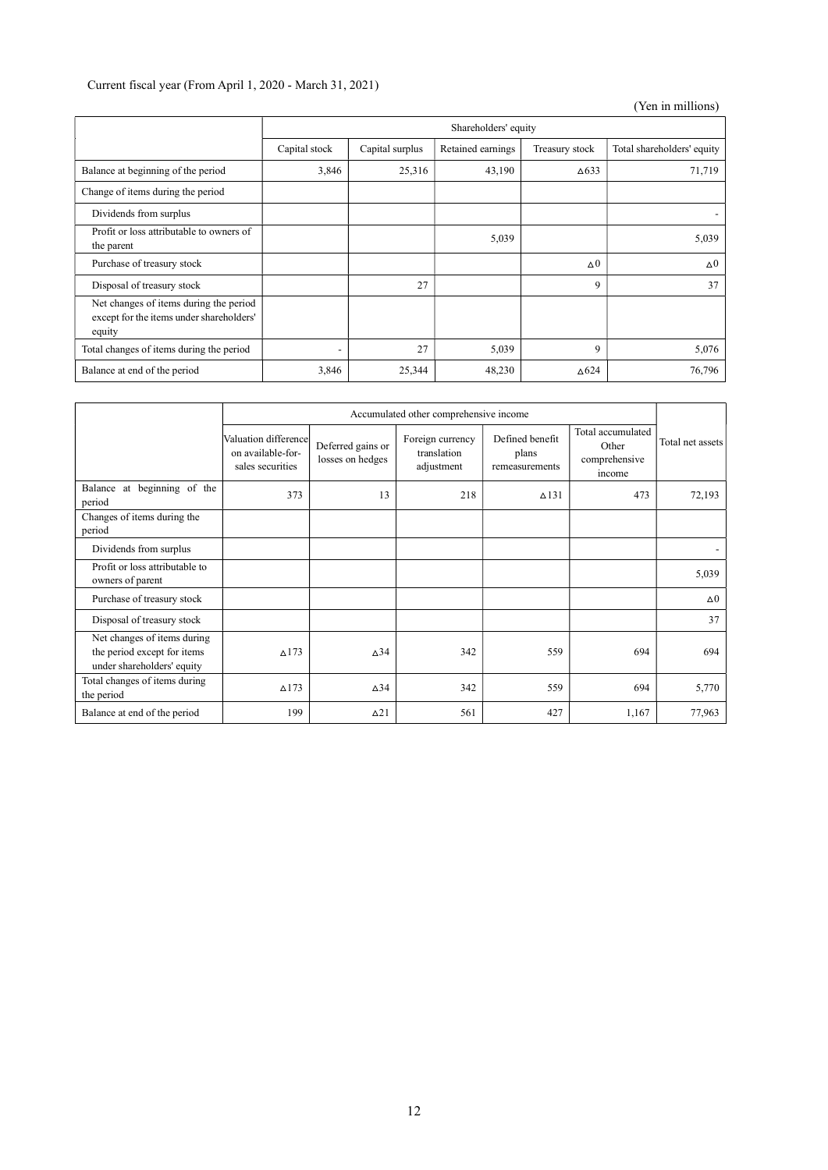# Current fiscal year (From April 1, 2020 - March 31, 2021)

# (Yen in millions)

|                                                                                              | Shareholders' equity |                 |                   |                |                            |  |
|----------------------------------------------------------------------------------------------|----------------------|-----------------|-------------------|----------------|----------------------------|--|
|                                                                                              | Capital stock        | Capital surplus | Retained earnings | Treasury stock | Total shareholders' equity |  |
| Balance at beginning of the period                                                           | 3,846                | 25,316          | 43,190            | $\Delta$ 633   | 71,719                     |  |
| Change of items during the period                                                            |                      |                 |                   |                |                            |  |
| Dividends from surplus                                                                       |                      |                 |                   |                |                            |  |
| Profit or loss attributable to owners of<br>the parent                                       |                      |                 | 5,039             |                | 5,039                      |  |
| Purchase of treasury stock                                                                   |                      |                 |                   | $\Delta 0$     | $\Delta 0$                 |  |
| Disposal of treasury stock                                                                   |                      | 27              |                   | 9              | 37                         |  |
| Net changes of items during the period<br>except for the items under shareholders'<br>equity |                      |                 |                   |                |                            |  |
| Total changes of items during the period                                                     |                      | 27              | 5,039             | 9              | 5,076                      |  |
| Balance at end of the period                                                                 | 3,846                | 25,344          | 48,230            | $\Delta$ 624   | 76,796                     |  |

|                                                                                          | Accumulated other comprehensive income                         |                                       |                                               |                                            |                                                       |                          |
|------------------------------------------------------------------------------------------|----------------------------------------------------------------|---------------------------------------|-----------------------------------------------|--------------------------------------------|-------------------------------------------------------|--------------------------|
|                                                                                          | Valuation differencel<br>on available-for-<br>sales securities | Deferred gains or<br>losses on hedges | Foreign currency<br>translation<br>adjustment | Defined benefit<br>plans<br>remeasurements | Total accumulated<br>Other<br>comprehensive<br>income | Total net assets         |
| Balance at beginning of the<br>period                                                    | 373                                                            | 13                                    | 218                                           | $\triangle$ 131                            | 473                                                   | 72,193                   |
| Changes of items during the<br>period                                                    |                                                                |                                       |                                               |                                            |                                                       |                          |
| Dividends from surplus                                                                   |                                                                |                                       |                                               |                                            |                                                       | $\overline{\phantom{0}}$ |
| Profit or loss attributable to<br>owners of parent                                       |                                                                |                                       |                                               |                                            |                                                       | 5,039                    |
| Purchase of treasury stock                                                               |                                                                |                                       |                                               |                                            |                                                       | $\Delta 0$               |
| Disposal of treasury stock                                                               |                                                                |                                       |                                               |                                            |                                                       | 37                       |
| Net changes of items during<br>the period except for items<br>under shareholders' equity | $\triangle$ 173                                                | $\Delta$ 34                           | 342                                           | 559                                        | 694                                                   | 694                      |
| Total changes of items during<br>the period                                              | $\triangle$ 173                                                | $\Delta$ 34                           | 342                                           | 559                                        | 694                                                   | 5,770                    |
| Balance at end of the period                                                             | 199                                                            | $\Delta$ 21                           | 561                                           | 427                                        | 1,167                                                 | 77,963                   |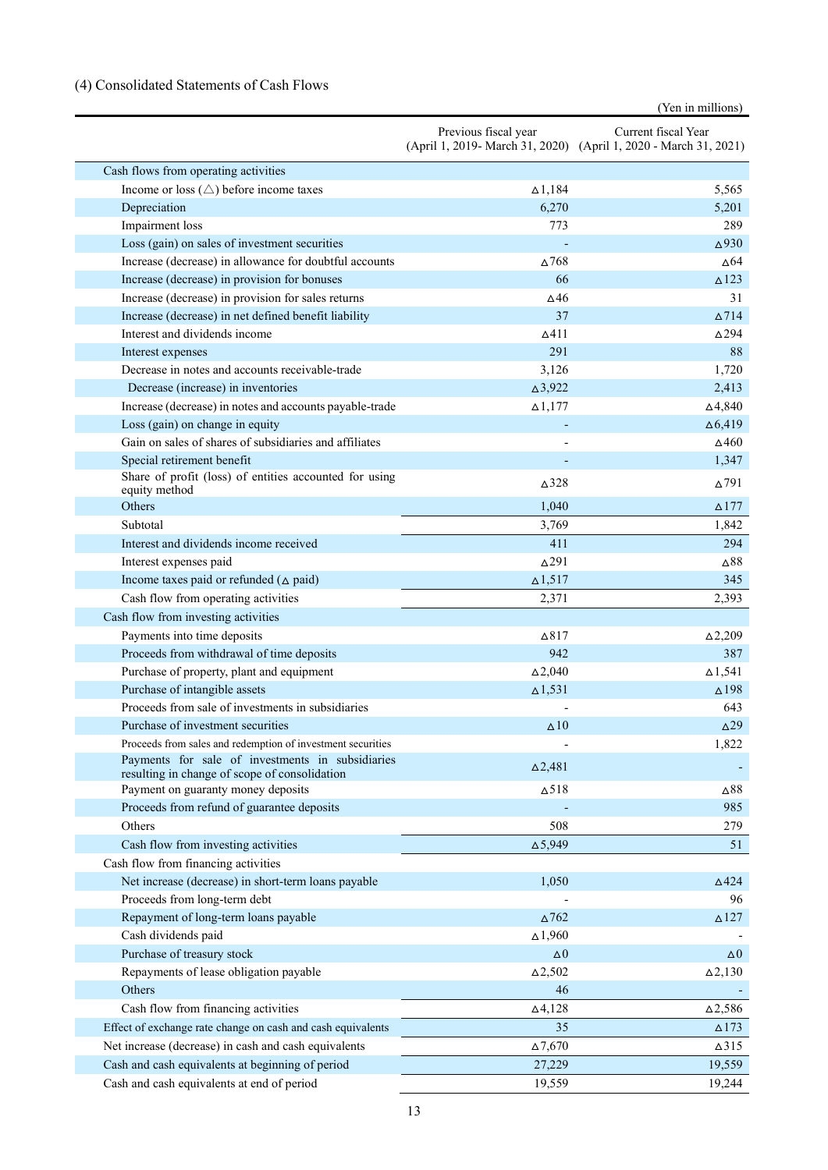# (4) Consolidated Statements of Cash Flows

(Yen in millions)

|                                                                                                   | Previous fiscal year | Current fiscal Year<br>(April 1, 2019- March 31, 2020) (April 1, 2020 - March 31, 2021) |
|---------------------------------------------------------------------------------------------------|----------------------|-----------------------------------------------------------------------------------------|
| Cash flows from operating activities                                                              |                      |                                                                                         |
| Income or loss $(\triangle)$ before income taxes                                                  | $\Delta$ 1,184       | 5,565                                                                                   |
| Depreciation                                                                                      | 6,270                | 5,201                                                                                   |
| Impairment loss                                                                                   | 773                  | 289                                                                                     |
| Loss (gain) on sales of investment securities                                                     |                      | $\Delta$ 930                                                                            |
| Increase (decrease) in allowance for doubtful accounts                                            | $\Delta 768$         | $\Delta$ 64                                                                             |
| Increase (decrease) in provision for bonuses                                                      | 66                   | $\triangle$ 123                                                                         |
| Increase (decrease) in provision for sales returns                                                | $\Delta$ 46          | 31                                                                                      |
| Increase (decrease) in net defined benefit liability                                              | 37                   | $\Delta$ 714                                                                            |
| Interest and dividends income                                                                     | $\Delta$ 411         | $\Delta$ 294                                                                            |
| Interest expenses                                                                                 | 291                  | 88                                                                                      |
| Decrease in notes and accounts receivable-trade                                                   | 3,126                | 1,720                                                                                   |
| Decrease (increase) in inventories                                                                | $\Delta 3,922$       | 2,413                                                                                   |
| Increase (decrease) in notes and accounts payable-trade                                           | $\Delta$ 1,177       | $\Delta$ 4,840                                                                          |
| Loss (gain) on change in equity                                                                   |                      | $\Delta$ 6,419                                                                          |
| Gain on sales of shares of subsidiaries and affiliates                                            |                      | $\Delta$ 460                                                                            |
| Special retirement benefit                                                                        |                      | 1,347                                                                                   |
| Share of profit (loss) of entities accounted for using<br>equity method                           | $\Delta$ 328         | $\Delta$ 791                                                                            |
| Others                                                                                            | 1,040                | $\Delta$ 177                                                                            |
| Subtotal                                                                                          | 3,769                | 1,842                                                                                   |
| Interest and dividends income received                                                            | 411                  | 294                                                                                     |
| Interest expenses paid                                                                            | $\Delta$ 291         | ∆88                                                                                     |
| Income taxes paid or refunded $(\triangle$ paid)                                                  | $\Delta$ 1,517       | 345                                                                                     |
| Cash flow from operating activities                                                               | 2,371                | 2,393                                                                                   |
| Cash flow from investing activities                                                               |                      |                                                                                         |
| Payments into time deposits                                                                       | $\Delta$ 817         | $\Delta$ 2,209                                                                          |
| Proceeds from withdrawal of time deposits                                                         | 942                  | 387                                                                                     |
| Purchase of property, plant and equipment                                                         | $\Delta$ 2,040       | $\Delta$ 1,541                                                                          |
| Purchase of intangible assets                                                                     | $\Delta$ 1,531       | $\Delta$ 198                                                                            |
| Proceeds from sale of investments in subsidiaries                                                 |                      | 643                                                                                     |
| Purchase of investment securities                                                                 | $\Delta$ 10          | $\Delta$ 29                                                                             |
| Proceeds from sales and redemption of investment securities                                       |                      | 1,822                                                                                   |
| Payments for sale of investments in subsidiaries<br>resulting in change of scope of consolidation | $\Delta$ 2,481       |                                                                                         |
| Payment on guaranty money deposits                                                                | $\Delta$ 518         | $\Delta 88$                                                                             |
| Proceeds from refund of guarantee deposits                                                        |                      | 985                                                                                     |
| Others                                                                                            | 508                  | 279                                                                                     |
| Cash flow from investing activities                                                               | $\Delta$ 5,949       | 51                                                                                      |
| Cash flow from financing activities                                                               |                      |                                                                                         |
| Net increase (decrease) in short-term loans payable                                               | 1,050                | $\triangle$ 424                                                                         |
| Proceeds from long-term debt                                                                      |                      | 96                                                                                      |
| Repayment of long-term loans payable                                                              | $\Delta$ 762         | $\triangle$ 127                                                                         |
| Cash dividends paid                                                                               | $\Delta$ 1,960       |                                                                                         |
| Purchase of treasury stock                                                                        | $\Delta 0$           | $\Delta 0$                                                                              |
| Repayments of lease obligation payable                                                            | $\Delta 2,502$       | $\Delta$ 2,130                                                                          |
| Others                                                                                            | 46                   |                                                                                         |
| Cash flow from financing activities                                                               | $\Delta$ 4,128       | $\Delta$ 2,586                                                                          |
| Effect of exchange rate change on cash and cash equivalents                                       | 35                   | $\triangle$ 173                                                                         |
| Net increase (decrease) in cash and cash equivalents                                              | $\Delta$ 7,670       | $\Delta$ 315                                                                            |
| Cash and cash equivalents at beginning of period                                                  | 27,229               | 19,559                                                                                  |
| Cash and cash equivalents at end of period                                                        | 19,559               | 19,244                                                                                  |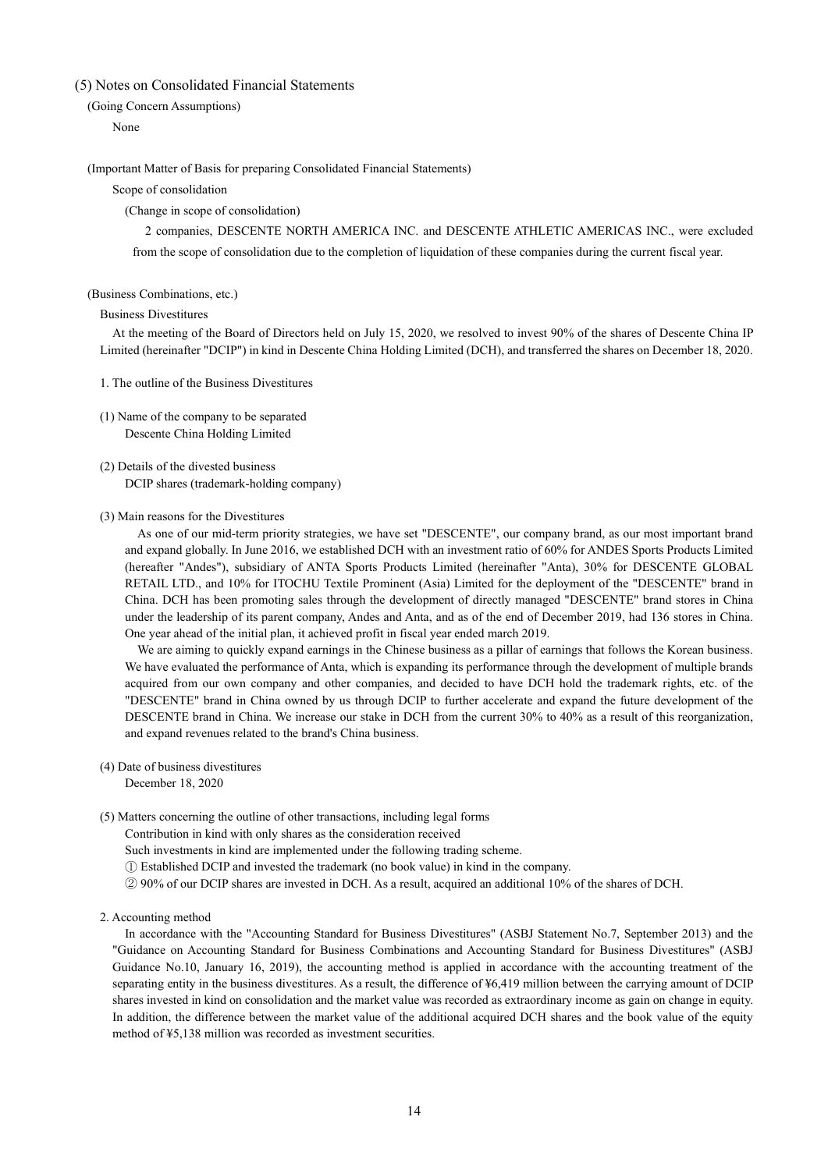## (5) Notes on Consolidated Financial Statements

### (Going Concern Assumptions)

None

### (Important Matter of Basis for preparing Consolidated Financial Statements)

### Scope of consolidation

### (Change in scope of consolidation)

2 companies, DESCENTE NORTH AMERICA INC. and DESCENTE ATHLETIC AMERICAS INC., were excluded from the scope of consolidation due to the completion of liquidation of these companies during the current fiscal year.

#### (Business Combinations, etc.)

#### Business Divestitures

At the meeting of the Board of Directors held on July 15, 2020, we resolved to invest 90% of the shares of Descente China IP Limited (hereinafter "DCIP") in kind in Descente China Holding Limited (DCH), and transferred the shares on December 18, 2020.

- 1. The outline of the Business Divestitures
- (1) Name of the company to be separated Descente China Holding Limited
- (2) Details of the divested business DCIP shares (trademark-holding company)

#### (3) Main reasons for the Divestitures

As one of our mid-term priority strategies, we have set "DESCENTE", our company brand, as our most important brand and expand globally. In June 2016, we established DCH with an investment ratio of 60% for ANDES Sports Products Limited (hereafter "Andes"), subsidiary of ANTA Sports Products Limited (hereinafter "Anta), 30% for DESCENTE GLOBAL RETAIL LTD., and 10% for ITOCHU Textile Prominent (Asia) Limited for the deployment of the "DESCENTE" brand in China. DCH has been promoting sales through the development of directly managed "DESCENTE" brand stores in China under the leadership of its parent company, Andes and Anta, and as of the end of December 2019, had 136 stores in China. One year ahead of the initial plan, it achieved profit in fiscal year ended march 2019.

We are aiming to quickly expand earnings in the Chinese business as a pillar of earnings that follows the Korean business. We have evaluated the performance of Anta, which is expanding its performance through the development of multiple brands acquired from our own company and other companies, and decided to have DCH hold the trademark rights, etc. of the "DESCENTE" brand in China owned by us through DCIP to further accelerate and expand the future development of the DESCENTE brand in China. We increase our stake in DCH from the current 30% to 40% as a result of this reorganization, and expand revenues related to the brand's China business.

# (4) Date of business divestitures

December 18, 2020

- (5) Matters concerning the outline of other transactions, including legal forms
	- Contribution in kind with only shares as the consideration received
	- Such investments in kind are implemented under the following trading scheme.
	- ① Established DCIP and invested the trademark (no book value) in kind in the company.
	- ② 90% of our DCIP shares are invested in DCH. As a result, acquired an additional 10% of the shares of DCH.

#### 2. Accounting method

In accordance with the "Accounting Standard for Business Divestitures" (ASBJ Statement No.7, September 2013) and the "Guidance on Accounting Standard for Business Combinations and Accounting Standard for Business Divestitures" (ASBJ Guidance No.10, January 16, 2019), the accounting method is applied in accordance with the accounting treatment of the separating entity in the business divestitures. As a result, the difference of ¥6,419 million between the carrying amount of DCIP shares invested in kind on consolidation and the market value was recorded as extraordinary income as gain on change in equity. In addition, the difference between the market value of the additional acquired DCH shares and the book value of the equity method of ¥5,138 million was recorded as investment securities.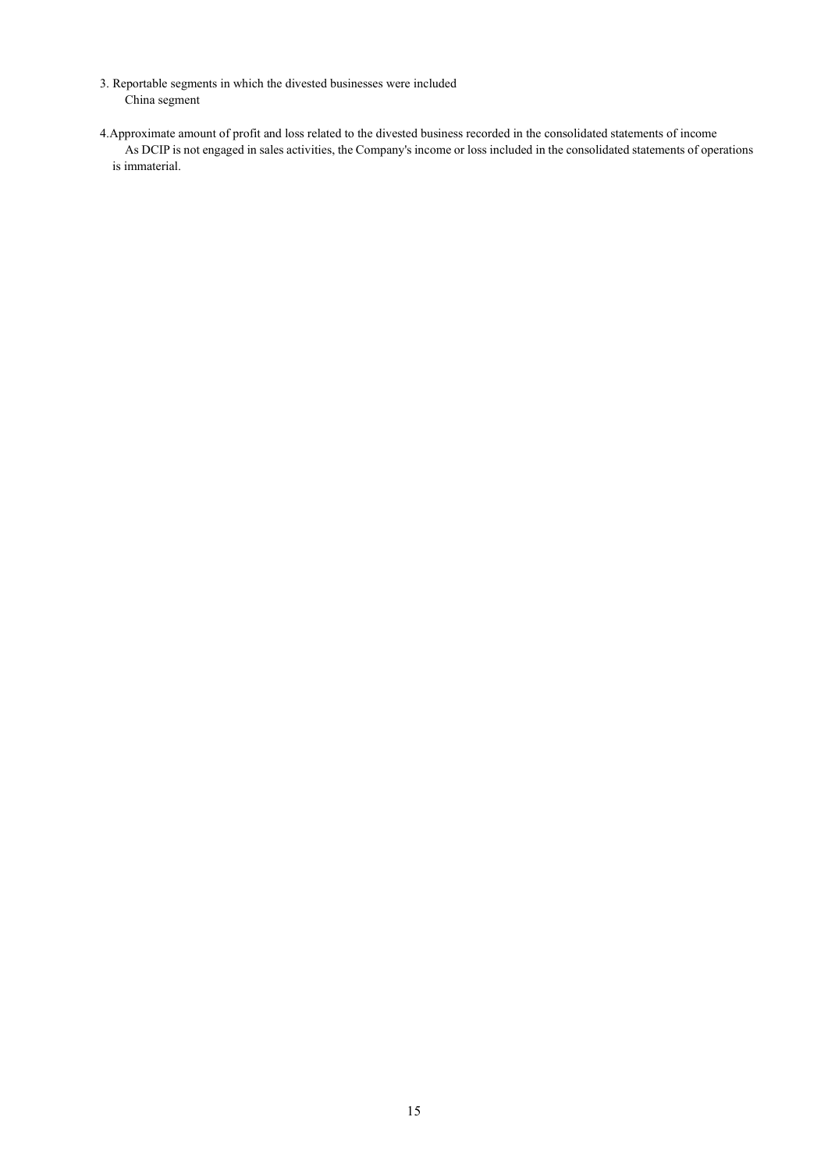- 3. Reportable segments in which the divested businesses were included China segment
- 4.Approximate amount of profit and loss related to the divested business recorded in the consolidated statements of income As DCIP is not engaged in sales activities, the Company's income or loss included in the consolidated statements of operations is immaterial.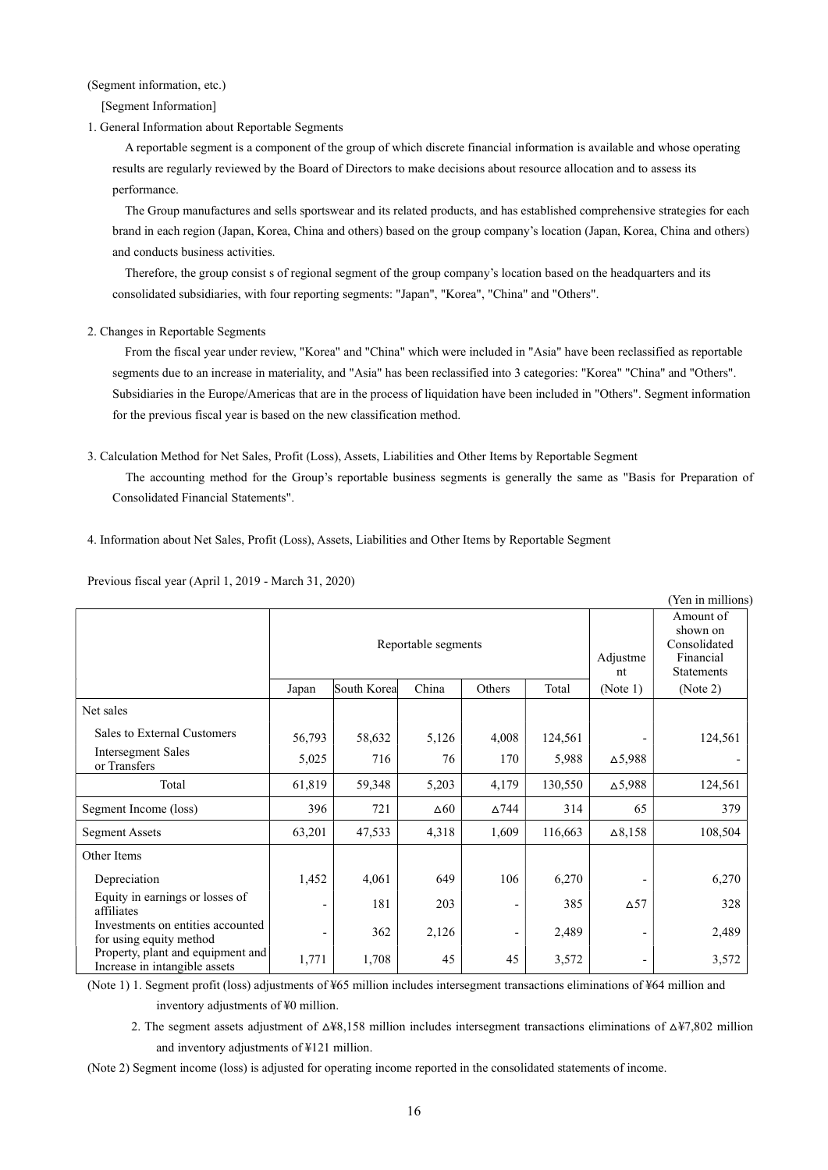(Segment information, etc.)

[Segment Information]

1. General Information about Reportable Segments

A reportable segment is a component of the group of which discrete financial information is available and whose operating results are regularly reviewed by the Board of Directors to make decisions about resource allocation and to assess its performance.

The Group manufactures and sells sportswear and its related products, and has established comprehensive strategies for each brand in each region (Japan, Korea, China and others) based on the group company's location (Japan, Korea, China and others) and conducts business activities.

Therefore, the group consist s of regional segment of the group company's location based on the headquarters and its consolidated subsidiaries, with four reporting segments: "Japan", "Korea", "China" and "Others".

### 2. Changes in Reportable Segments

From the fiscal year under review, "Korea" and "China" which were included in "Asia" have been reclassified as reportable segments due to an increase in materiality, and "Asia" has been reclassified into 3 categories: "Korea" "China" and "Others". Subsidiaries in the Europe/Americas that are in the process of liquidation have been included in "Others". Segment information for the previous fiscal year is based on the new classification method.

3. Calculation Method for Net Sales, Profit (Loss), Assets, Liabilities and Other Items by Reportable Segment

The accounting method for the Group's reportable business segments is generally the same as "Basis for Preparation of Consolidated Financial Statements".

4. Information about Net Sales, Profit (Loss), Assets, Liabilities and Other Items by Reportable Segment

Previous fiscal year (April 1, 2019 - March 31, 2020)

|                                                                    |                     |              |             |              |                |                                                                         | (Yen in millions) |
|--------------------------------------------------------------------|---------------------|--------------|-------------|--------------|----------------|-------------------------------------------------------------------------|-------------------|
|                                                                    | Reportable segments |              |             |              | Adjustme<br>nt | Amount of<br>shown on<br>Consolidated<br>Financial<br><b>Statements</b> |                   |
|                                                                    | Japan               | South Koreal | China       | Others       | Total          | (Note 1)                                                                | (Note 2)          |
| Net sales                                                          |                     |              |             |              |                |                                                                         |                   |
| Sales to External Customers                                        | 56,793              | 58,632       | 5,126       | 4,008        | 124,561        |                                                                         | 124,561           |
| <b>Intersegment Sales</b><br>or Transfers                          | 5,025               | 716          | 76          | 170          | 5,988          | $\Delta$ 5,988                                                          |                   |
| Total                                                              | 61,819              | 59,348       | 5,203       | 4,179        | 130,550        | $\Delta$ 5,988                                                          | 124,561           |
| Segment Income (loss)                                              | 396                 | 721          | $\Delta 60$ | $\Delta$ 744 | 314            | 65                                                                      | 379               |
| <b>Segment Assets</b>                                              | 63,201              | 47,533       | 4,318       | 1,609        | 116,663        | $\Delta 8,158$                                                          | 108,504           |
| Other Items                                                        |                     |              |             |              |                |                                                                         |                   |
| Depreciation                                                       | 1,452               | 4,061        | 649         | 106          | 6,270          |                                                                         | 6,270             |
| Equity in earnings or losses of<br>affiliates                      |                     | 181          | 203         | -            | 385            | $\Delta$ 57                                                             | 328               |
| Investments on entities accounted<br>for using equity method       |                     | 362          | 2,126       | ۰            | 2,489          | $\qquad \qquad$                                                         | 2,489             |
| Property, plant and equipment and<br>Increase in intangible assets | 1,771               | 1,708        | 45          | 45           | 3,572          |                                                                         | 3,572             |

(Note 1) 1. Segment profit (loss) adjustments of ¥65 million includes intersegment transactions eliminations of ¥64 million and inventory adjustments of ¥0 million.

2. The segment assets adjustment of  $\Delta\frac{48}{158}$  million includes intersegment transactions eliminations of  $\Delta\frac{47}{802}$  million and inventory adjustments of ¥121 million.

(Note 2) Segment income (loss) is adjusted for operating income reported in the consolidated statements of income.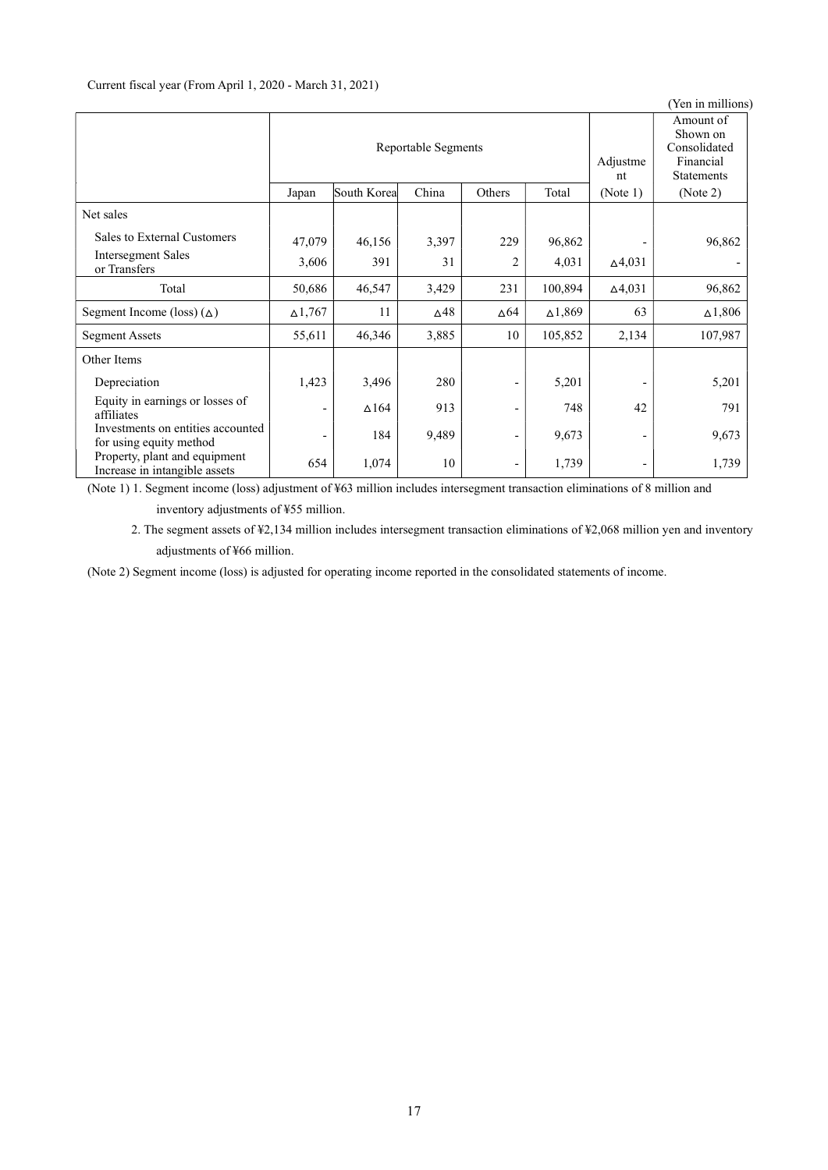|                                                                |                     |              |             |                          |                 |                                                                         | (Yen in millions) |
|----------------------------------------------------------------|---------------------|--------------|-------------|--------------------------|-----------------|-------------------------------------------------------------------------|-------------------|
|                                                                | Reportable Segments |              |             |                          | Adjustme<br>nt  | Amount of<br>Shown on<br>Consolidated<br>Financial<br><b>Statements</b> |                   |
|                                                                | Japan               | South Korea  | China       | Others                   | Total           | (Note 1)                                                                | (Note 2)          |
| Net sales                                                      |                     |              |             |                          |                 |                                                                         |                   |
| Sales to External Customers                                    | 47,079              | 46,156       | 3,397       | 229                      | 96,862          |                                                                         | 96,862            |
| Intersegment Sales<br>or Transfers                             | 3,606               | 391          | 31          | 2                        | 4,031           | $\Delta$ 4,031                                                          |                   |
| Total                                                          | 50,686              | 46,547       | 3,429       | 231                      | 100,894         | $\Delta$ 4,031                                                          | 96,862            |
| Segment Income (loss) $(\triangle)$                            | $\Delta$ 1,767      | 11           | $\Delta$ 48 | $\Delta 64$              | $\Delta1,\!869$ | 63                                                                      | $\Delta$ 1,806    |
| <b>Segment Assets</b>                                          | 55,611              | 46,346       | 3,885       | 10                       | 105,852         | 2,134                                                                   | 107,987           |
| Other Items                                                    |                     |              |             |                          |                 |                                                                         |                   |
| Depreciation                                                   | 1,423               | 3,496        | 280         | $\overline{\phantom{a}}$ | 5,201           |                                                                         | 5,201             |
| Equity in earnings or losses of<br>affiliates                  |                     | $\Delta$ 164 | 913         | -                        | 748             | 42                                                                      | 791               |
| Investments on entities accounted<br>for using equity method   |                     | 184          | 9,489       | $\overline{\phantom{a}}$ | 9,673           |                                                                         | 9,673             |
| Property, plant and equipment<br>Increase in intangible assets | 654                 | 1,074        | 10          | $\overline{\phantom{a}}$ | 1,739           |                                                                         | 1,739             |

(Note 1) 1. Segment income (loss) adjustment of ¥63 million includes intersegment transaction eliminations of 8 million and inventory adjustments of ¥55 million.

2. The segment assets of ¥2,134 million includes intersegment transaction eliminations of ¥2,068 million yen and inventory adjustments of ¥66 million.

(Note 2) Segment income (loss) is adjusted for operating income reported in the consolidated statements of income.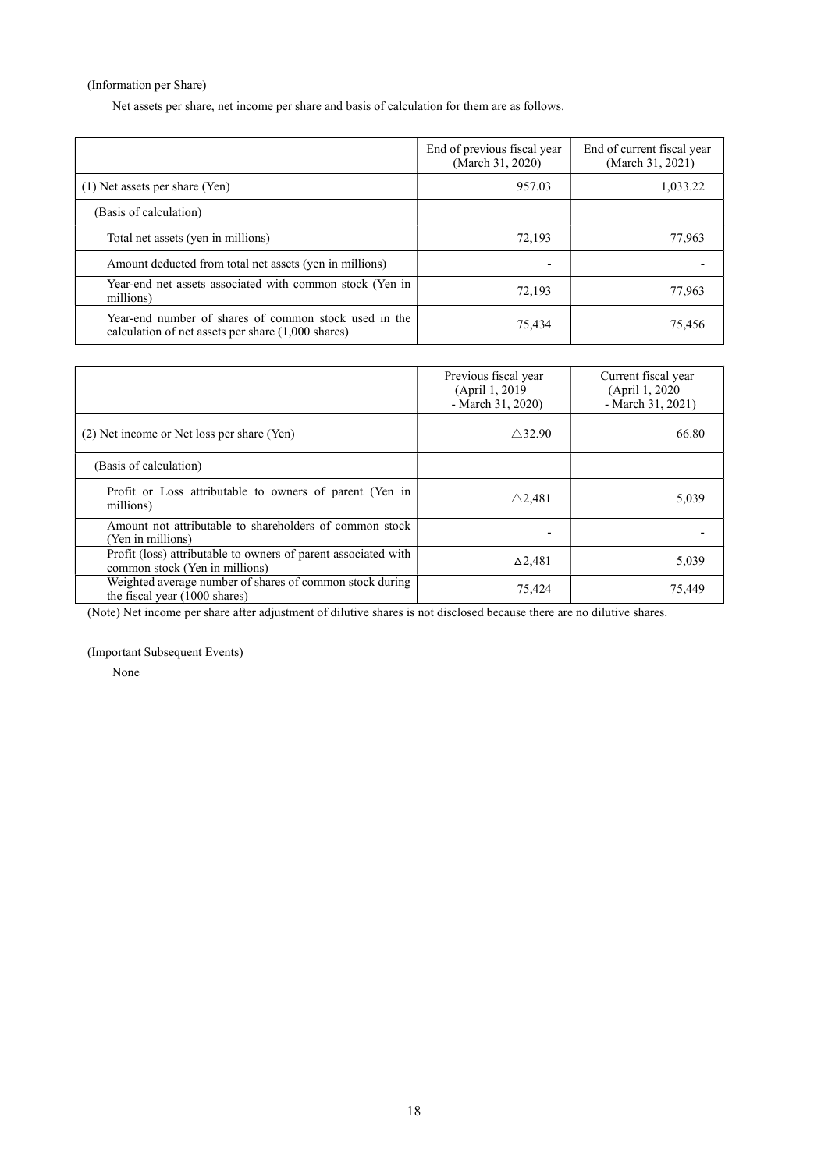(Information per Share)

Net assets per share, net income per share and basis of calculation for them are as follows.

|                                                                                                                       | End of previous fiscal year<br>(March 31, 2020) | End of current fiscal year<br>(March 31, 2021) |
|-----------------------------------------------------------------------------------------------------------------------|-------------------------------------------------|------------------------------------------------|
| (1) Net assets per share (Yen)                                                                                        | 957.03                                          | 1,033.22                                       |
| (Basis of calculation)                                                                                                |                                                 |                                                |
| Total net assets (yen in millions)                                                                                    | 72,193                                          | 77,963                                         |
| Amount deducted from total net assets (yen in millions)                                                               |                                                 |                                                |
| Year-end net assets associated with common stock (Yen in<br>millions)                                                 | 72,193                                          | 77,963                                         |
| Year-end number of shares of common stock used in the<br>calculation of net assets per share $(1,000 \text{ shares})$ | 75.434                                          | 75,456                                         |

|                                                                                                  | Previous fiscal year<br>(April 1, 2019)<br>- March 31, 2020) | Current fiscal year<br>(April 1, 2020)<br>- March 31, 2021) |
|--------------------------------------------------------------------------------------------------|--------------------------------------------------------------|-------------------------------------------------------------|
| (2) Net income or Net loss per share (Yen)                                                       | $\wedge$ 32.90                                               | 66.80                                                       |
| (Basis of calculation)                                                                           |                                                              |                                                             |
| Profit or Loss attributable to owners of parent (Yen in<br>millions)                             | $\triangle$ 2.481                                            | 5,039                                                       |
| Amount not attributable to shareholders of common stock<br>(Yen in millions)                     |                                                              |                                                             |
| Profit (loss) attributable to owners of parent associated with<br>common stock (Yen in millions) | $\Delta$ 2,481                                               | 5,039                                                       |
| Weighted average number of shares of common stock during<br>the fiscal year (1000 shares)        | 75,424                                                       | 75,449                                                      |

(Note) Net income per share after adjustment of dilutive shares is not disclosed because there are no dilutive shares.

(Important Subsequent Events)

None